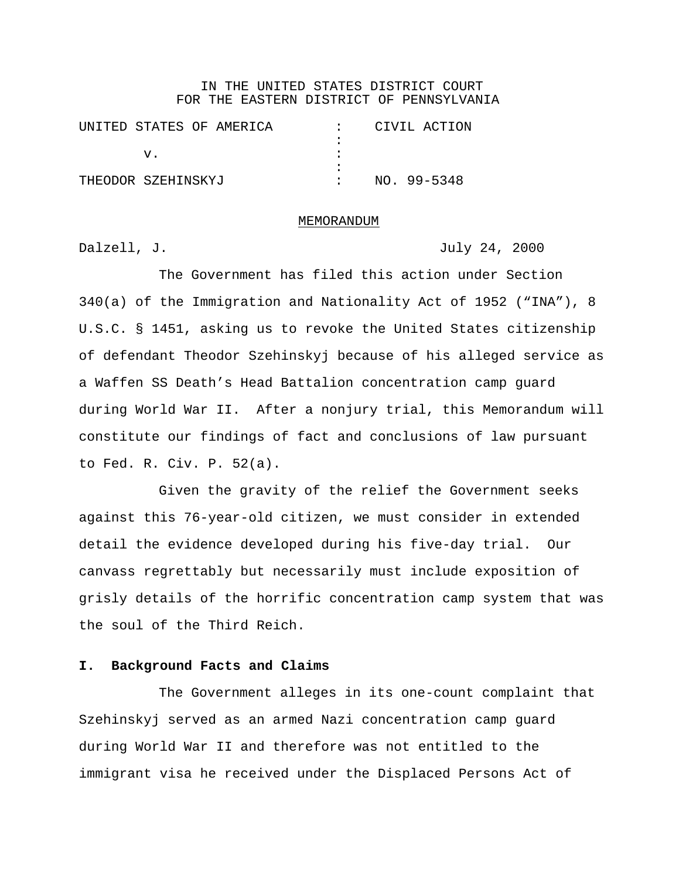## IN THE UNITED STATES DISTRICT COURT FOR THE EASTERN DISTRICT OF PENNSYLVANIA

|                    |  | UNITED STATES OF AMERICA |  |  | CIVIL ACTION |  |
|--------------------|--|--------------------------|--|--|--------------|--|
|                    |  |                          |  |  |              |  |
|                    |  |                          |  |  |              |  |
|                    |  |                          |  |  |              |  |
| THEODOR SZEHINSKYJ |  |                          |  |  | NO. 99-5348  |  |

#### MEMORANDUM

Dalzell, J. July 24, 2000

The Government has filed this action under Section 340(a) of the Immigration and Nationality Act of 1952 ("INA"), 8 U.S.C. § 1451, asking us to revoke the United States citizenship of defendant Theodor Szehinskyj because of his alleged service as a Waffen SS Death's Head Battalion concentration camp guard during World War II. After a nonjury trial, this Memorandum will constitute our findings of fact and conclusions of law pursuant to Fed. R. Civ. P. 52(a).

Given the gravity of the relief the Government seeks against this 76-year-old citizen, we must consider in extended detail the evidence developed during his five-day trial. Our canvass regrettably but necessarily must include exposition of grisly details of the horrific concentration camp system that was the soul of the Third Reich.

## **I. Background Facts and Claims**

The Government alleges in its one-count complaint that Szehinskyj served as an armed Nazi concentration camp guard during World War II and therefore was not entitled to the immigrant visa he received under the Displaced Persons Act of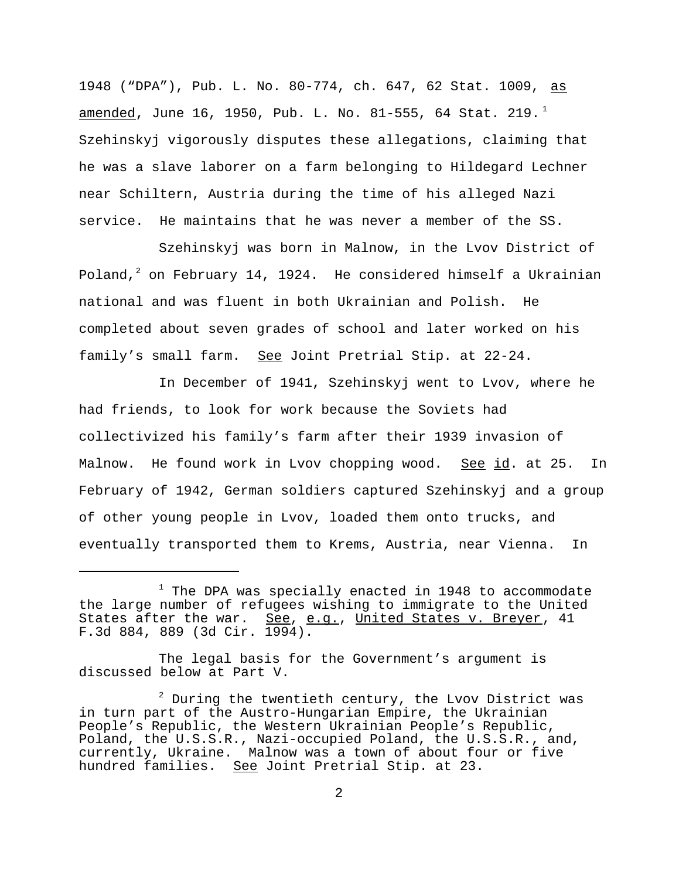1948 ("DPA"), Pub. L. No. 80-774, ch. 647, 62 Stat. 1009, as <u>amended</u>, June 16, 1950, Pub. L. No. 81-555, 64 Stat. 219.<sup>1</sup> Szehinskyj vigorously disputes these allegations, claiming that he was a slave laborer on a farm belonging to Hildegard Lechner near Schiltern, Austria during the time of his alleged Nazi service. He maintains that he was never a member of the SS.

Szehinskyj was born in Malnow, in the Lvov District of Poland, $^2$  on February 14, 1924. He considered himself a Ukrainian national and was fluent in both Ukrainian and Polish. He completed about seven grades of school and later worked on his family's small farm. See Joint Pretrial Stip. at 22-24.

In December of 1941, Szehinskyj went to Lvov, where he had friends, to look for work because the Soviets had collectivized his family's farm after their 1939 invasion of Malnow. He found work in Lvov chopping wood. See id. at 25. In February of 1942, German soldiers captured Szehinskyj and a group of other young people in Lvov, loaded them onto trucks, and eventually transported them to Krems, Austria, near Vienna. In

The legal basis for the Government's argument is discussed below at Part V.

 $^1$  The DPA was specially enacted in 1948 to accommodate the large number of refugees wishing to immigrate to the United States after the war. See, e.g., United States v. Breyer, 41 F.3d 884, 889 (3d Cir. 1994).

 $2$  During the twentieth century, the Lvov District was in turn part of the Austro-Hungarian Empire, the Ukrainian People's Republic, the Western Ukrainian People's Republic, Poland, the U.S.S.R., Nazi-occupied Poland, the U.S.S.R., and, currently, Ukraine. Malnow was a town of about four or five hundred families. See Joint Pretrial Stip. at 23.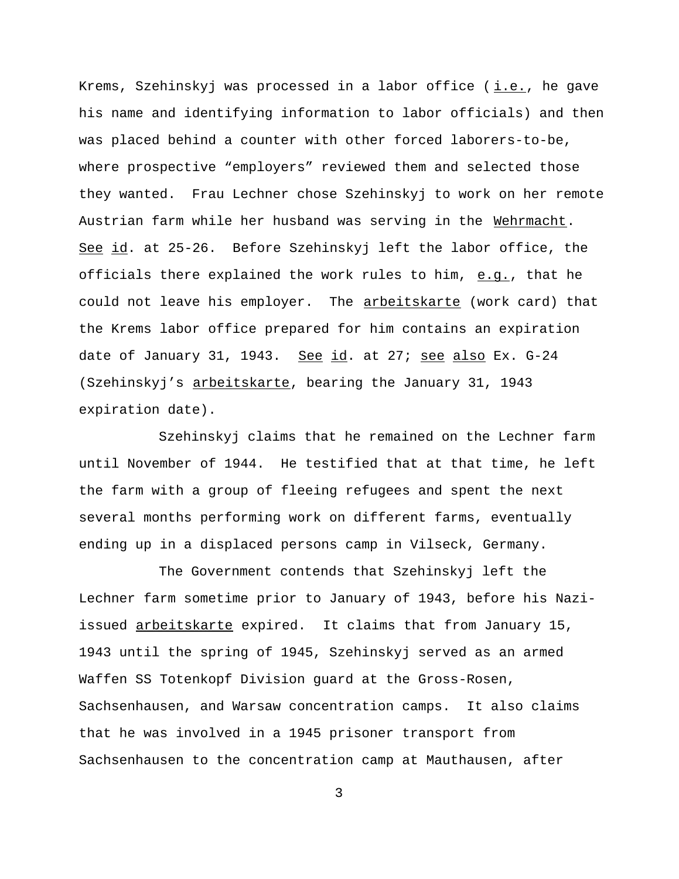Krems, Szehinskyj was processed in a labor office ( i.e., he gave his name and identifying information to labor officials) and then was placed behind a counter with other forced laborers-to-be, where prospective "employers" reviewed them and selected those they wanted. Frau Lechner chose Szehinskyj to work on her remote Austrian farm while her husband was serving in the Wehrmacht. See id. at 25-26. Before Szehinskyj left the labor office, the officials there explained the work rules to him,  $e.q.$ , that he</u> could not leave his employer. The arbeitskarte (work card) that the Krems labor office prepared for him contains an expiration date of January 31, 1943. See id. at 27; see also Ex. G-24 (Szehinskyj's arbeitskarte, bearing the January 31, 1943 expiration date).

Szehinskyj claims that he remained on the Lechner farm until November of 1944. He testified that at that time, he left the farm with a group of fleeing refugees and spent the next several months performing work on different farms, eventually ending up in a displaced persons camp in Vilseck, Germany.

The Government contends that Szehinskyj left the Lechner farm sometime prior to January of 1943, before his Naziissued arbeitskarte expired. It claims that from January 15, 1943 until the spring of 1945, Szehinskyj served as an armed Waffen SS Totenkopf Division guard at the Gross-Rosen, Sachsenhausen, and Warsaw concentration camps. It also claims that he was involved in a 1945 prisoner transport from Sachsenhausen to the concentration camp at Mauthausen, after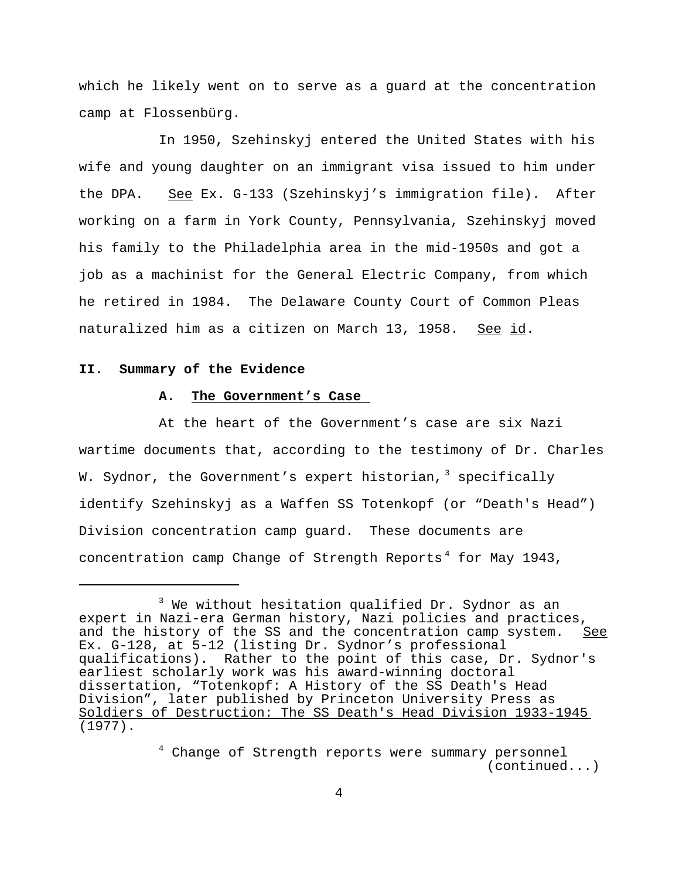which he likely went on to serve as a guard at the concentration camp at Flossenbürg.

In 1950, Szehinskyj entered the United States with his wife and young daughter on an immigrant visa issued to him under the DPA. See Ex. G-133 (Szehinskyj's immigration file). After working on a farm in York County, Pennsylvania, Szehinskyj moved his family to the Philadelphia area in the mid-1950s and got a job as a machinist for the General Electric Company, from which he retired in 1984. The Delaware County Court of Common Pleas naturalized him as a citizen on March 13, 1958. See id.

### **II. Summary of the Evidence**

## **A. The Government's Case**

At the heart of the Government's case are six Nazi wartime documents that, according to the testimony of Dr. Charles W. Sydnor, the Government's expert historian, $^3$  specifically identify Szehinskyj as a Waffen SS Totenkopf (or "Death's Head") Division concentration camp guard. These documents are concentration camp Change of Strength Reports<sup>4</sup> for May 1943,

 $^3$  We without hesitation qualified Dr. Sydnor as an expert in Nazi-era German history, Nazi policies and practices, and the history of the SS and the concentration camp system. See Ex. G-128, at 5-12 (listing Dr. Sydnor's professional qualifications). Rather to the point of this case, Dr. Sydnor's earliest scholarly work was his award-winning doctoral dissertation, "Totenkopf: A History of the SS Death's Head Division", later published by Princeton University Press as Soldiers of Destruction: The SS Death's Head Division 1933-1945 (1977).

<sup>&</sup>lt;sup>4</sup> Change of Strength reports were summary personnel (continued...)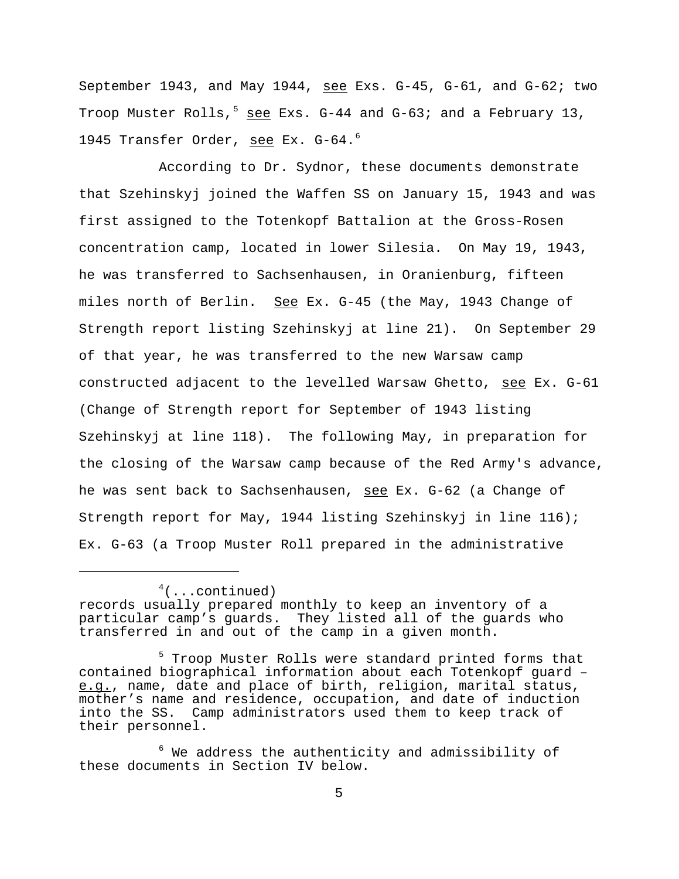September 1943, and May 1944, see Exs.  $G-45$ ,  $G-61$ , and  $G-62$ ; two Troop Muster Rolls,<sup>5</sup> see Exs. G-44 and G-63; and a February 13, 1945 Transfer Order, see Ex. G-64.<sup>6</sup>

According to Dr. Sydnor, these documents demonstrate that Szehinskyj joined the Waffen SS on January 15, 1943 and was first assigned to the Totenkopf Battalion at the Gross-Rosen concentration camp, located in lower Silesia. On May 19, 1943, he was transferred to Sachsenhausen, in Oranienburg, fifteen miles north of Berlin. See Ex. G-45 (the May, 1943 Change of Strength report listing Szehinskyj at line 21). On September 29 of that year, he was transferred to the new Warsaw camp constructed adjacent to the levelled Warsaw Ghetto, see Ex. G-61 (Change of Strength report for September of 1943 listing Szehinskyj at line 118). The following May, in preparation for the closing of the Warsaw camp because of the Red Army's advance, he was sent back to Sachsenhausen, see Ex. G-62 (a Change of Strength report for May, 1944 listing Szehinskyj in line 116); Ex. G-63 (a Troop Muster Roll prepared in the administrative

 $4$ (...continued)

records usually prepared monthly to keep an inventory of a particular camp's guards. They listed all of the guards who transferred in and out of the camp in a given month.

<sup>&</sup>lt;sup>5</sup> Troop Muster Rolls were standard printed forms that contained biographical information about each Totenkopf guard – e.g., name, date and place of birth, religion, marital status, mother's name and residence, occupation, and date of induction into the SS. Camp administrators used them to keep track of their personnel.

 $6$  We address the authenticity and admissibility of these documents in Section IV below.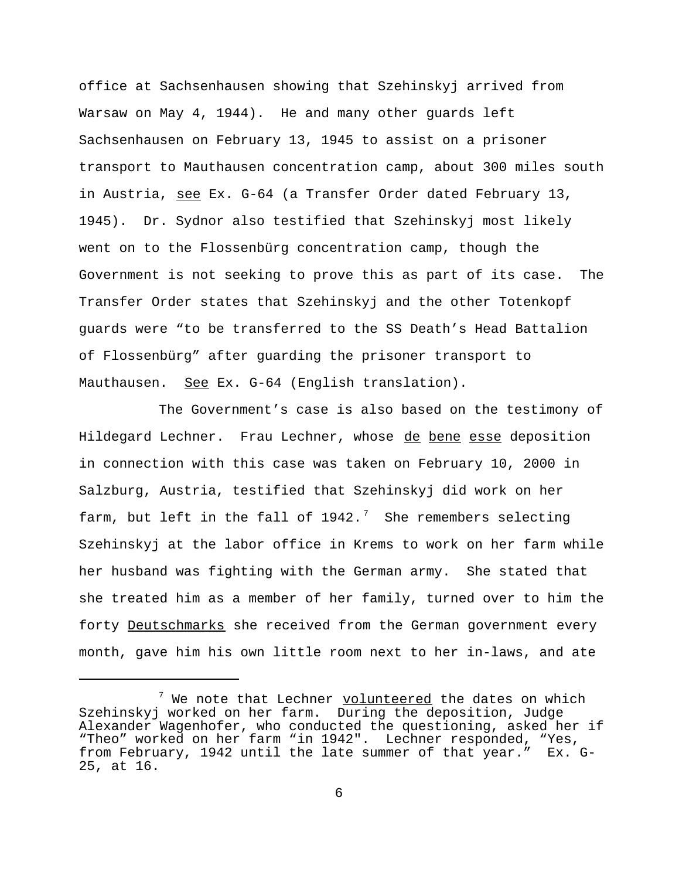office at Sachsenhausen showing that Szehinskyj arrived from Warsaw on May 4, 1944). He and many other guards left Sachsenhausen on February 13, 1945 to assist on a prisoner transport to Mauthausen concentration camp, about 300 miles south in Austria, see Ex. G-64 (a Transfer Order dated February 13, 1945). Dr. Sydnor also testified that Szehinskyj most likely went on to the Flossenbürg concentration camp, though the Government is not seeking to prove this as part of its case. The Transfer Order states that Szehinskyj and the other Totenkopf guards were "to be transferred to the SS Death's Head Battalion of Flossenbürg" after guarding the prisoner transport to Mauthausen. See Ex. G-64 (English translation).

The Government's case is also based on the testimony of Hildegard Lechner. Frau Lechner, whose de bene esse deposition in connection with this case was taken on February 10, 2000 in Salzburg, Austria, testified that Szehinskyj did work on her farm, but left in the fall of 1942. $^7$  She remembers selecting Szehinskyj at the labor office in Krems to work on her farm while her husband was fighting with the German army. She stated that she treated him as a member of her family, turned over to him the forty Deutschmarks she received from the German government every month, gave him his own little room next to her in-laws, and ate

<sup>&</sup>lt;sup>7</sup> We note that Lechner <u>volunteered</u> the dates on which Szehinskyj worked on her farm. During the deposition, Judge Alexander Wagenhofer, who conducted the questioning, asked her if "Theo" worked on her farm "in 1942". Lechner responded, "Yes, from February, 1942 until the late summer of that year." Ex. G-25, at 16.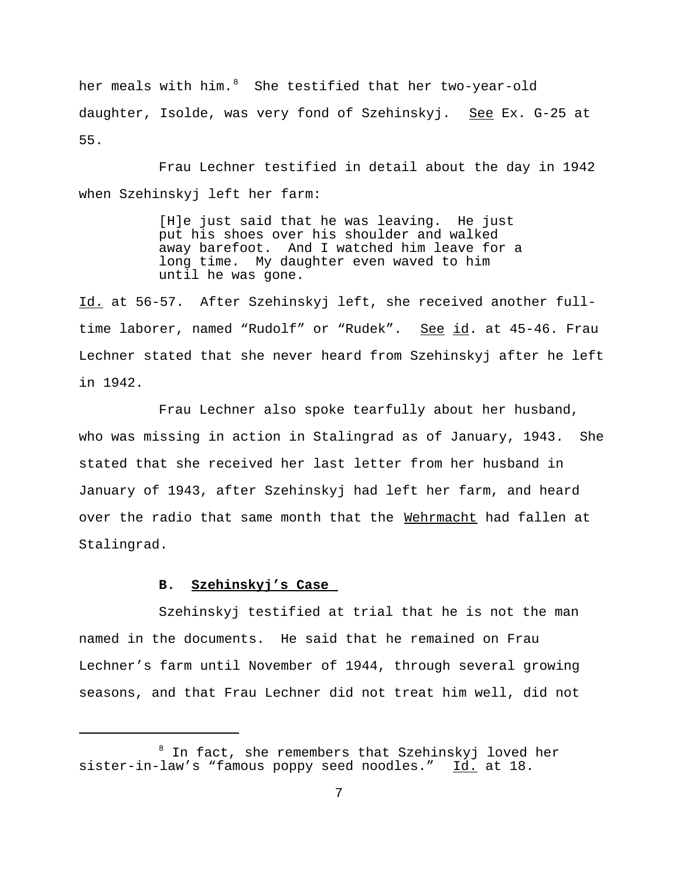her meals with him. $^8$  She testified that her two-year-old daughter, Isolde, was very fond of Szehinskyj. See Ex. G-25 at 55.

Frau Lechner testified in detail about the day in 1942 when Szehinskyj left her farm:

> [H]e just said that he was leaving. He just put his shoes over his shoulder and walked away barefoot. And I watched him leave for a long time. My daughter even waved to him until he was gone.

Id. at 56-57. After Szehinskyj left, she received another fulltime laborer, named "Rudolf" or "Rudek". See id. at 45-46. Frau Lechner stated that she never heard from Szehinskyj after he left in 1942.

Frau Lechner also spoke tearfully about her husband, who was missing in action in Stalingrad as of January, 1943. She stated that she received her last letter from her husband in January of 1943, after Szehinskyj had left her farm, and heard over the radio that same month that the Wehrmacht had fallen at Stalingrad.

## **B. Szehinskyj's Case**

Szehinskyj testified at trial that he is not the man named in the documents. He said that he remained on Frau Lechner's farm until November of 1944, through several growing seasons, and that Frau Lechner did not treat him well, did not

<sup>8</sup> In fact, she remembers that Szehinskyj loved her sister-in-law's "famous poppy seed noodles." Id. at 18.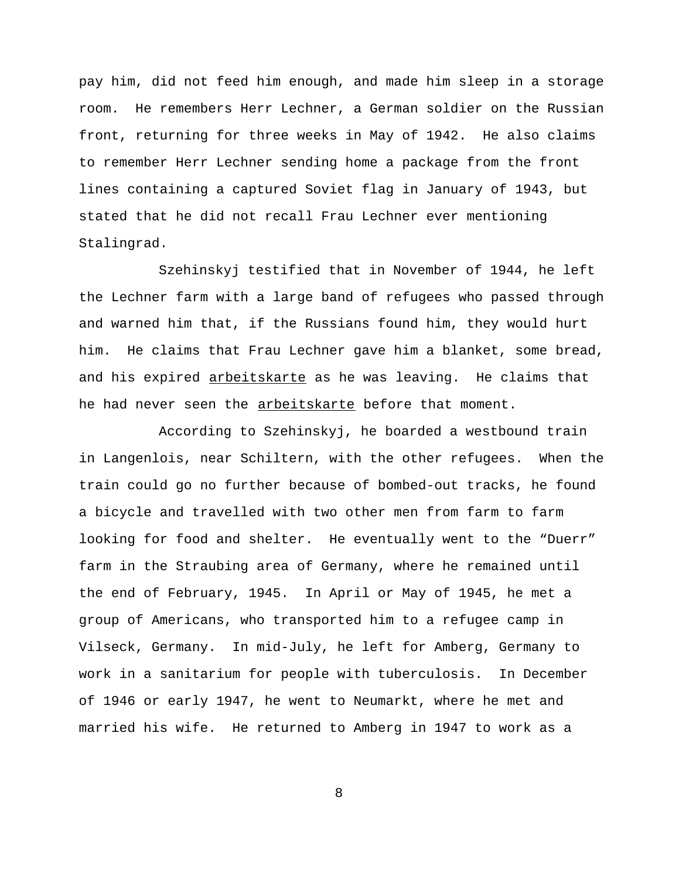pay him, did not feed him enough, and made him sleep in a storage room. He remembers Herr Lechner, a German soldier on the Russian front, returning for three weeks in May of 1942. He also claims to remember Herr Lechner sending home a package from the front lines containing a captured Soviet flag in January of 1943, but stated that he did not recall Frau Lechner ever mentioning Stalingrad.

Szehinskyj testified that in November of 1944, he left the Lechner farm with a large band of refugees who passed through and warned him that, if the Russians found him, they would hurt him. He claims that Frau Lechner gave him a blanket, some bread, and his expired arbeitskarte as he was leaving. He claims that he had never seen the arbeitskarte before that moment.

According to Szehinskyj, he boarded a westbound train in Langenlois, near Schiltern, with the other refugees. When the train could go no further because of bombed-out tracks, he found a bicycle and travelled with two other men from farm to farm looking for food and shelter. He eventually went to the "Duerr" farm in the Straubing area of Germany, where he remained until the end of February, 1945. In April or May of 1945, he met a group of Americans, who transported him to a refugee camp in Vilseck, Germany. In mid-July, he left for Amberg, Germany to work in a sanitarium for people with tuberculosis. In December of 1946 or early 1947, he went to Neumarkt, where he met and married his wife. He returned to Amberg in 1947 to work as a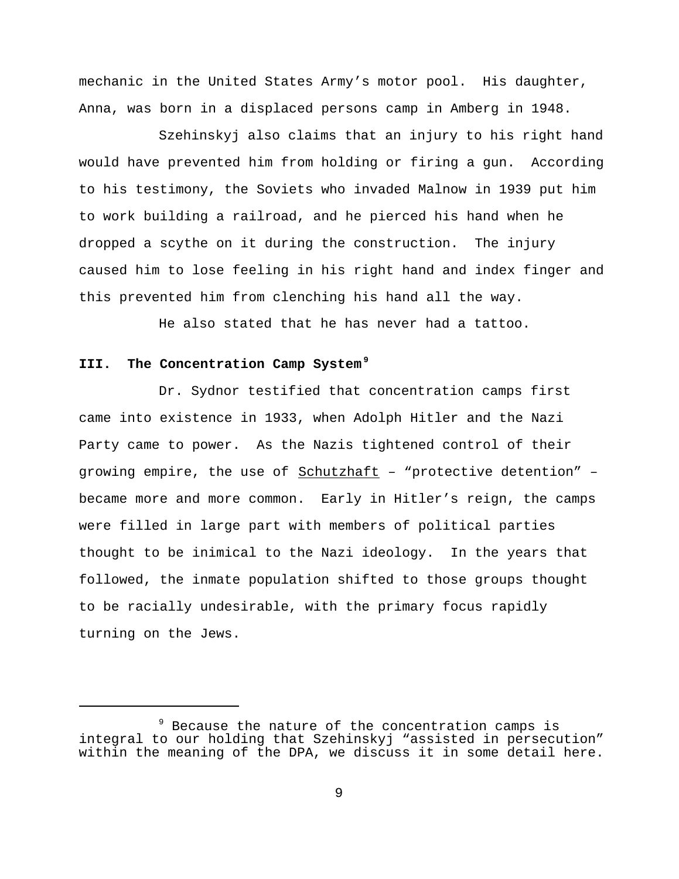mechanic in the United States Army's motor pool. His daughter, Anna, was born in a displaced persons camp in Amberg in 1948.

Szehinskyj also claims that an injury to his right hand would have prevented him from holding or firing a gun. According to his testimony, the Soviets who invaded Malnow in 1939 put him to work building a railroad, and he pierced his hand when he dropped a scythe on it during the construction. The injury caused him to lose feeling in his right hand and index finger and this prevented him from clenching his hand all the way.

He also stated that he has never had a tattoo.

# **III. The Concentration Camp System<sup>9</sup>**

Dr. Sydnor testified that concentration camps first came into existence in 1933, when Adolph Hitler and the Nazi Party came to power. As the Nazis tightened control of their growing empire, the use of Schutzhaft - "protective detention" became more and more common. Early in Hitler's reign, the camps were filled in large part with members of political parties thought to be inimical to the Nazi ideology. In the years that followed, the inmate population shifted to those groups thought to be racially undesirable, with the primary focus rapidly turning on the Jews.

<sup>&</sup>lt;sup>9</sup> Because the nature of the concentration camps is integral to our holding that Szehinskyj "assisted in persecution" within the meaning of the DPA, we discuss it in some detail here.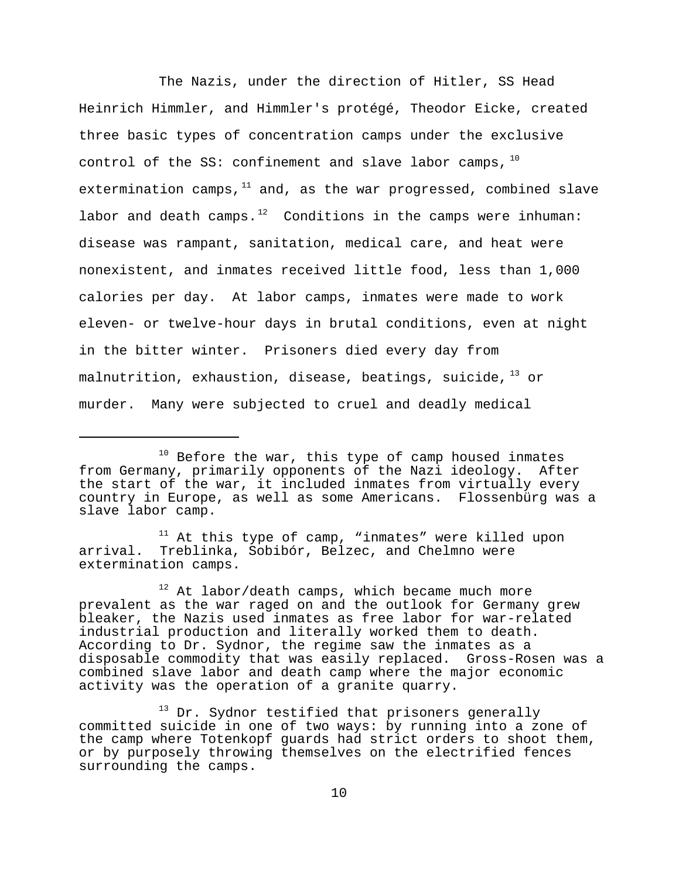The Nazis, under the direction of Hitler, SS Head Heinrich Himmler, and Himmler's protégé, Theodor Eicke, created three basic types of concentration camps under the exclusive control of the SS: confinement and slave labor camps,  $10$ extermination camps, $11$  and, as the war progressed, combined slave labor and death camps. $12$  Conditions in the camps were inhuman: disease was rampant, sanitation, medical care, and heat were nonexistent, and inmates received little food, less than 1,000 calories per day. At labor camps, inmates were made to work eleven- or twelve-hour days in brutal conditions, even at night in the bitter winter. Prisoners died every day from malnutrition, exhaustion, disease, beatings, suicide,  $^{13}$  or murder. Many were subjected to cruel and deadly medical

 $11$  At this type of camp, "inmates" were killed upon arrival. Treblinka, Sobibór, Belzec, and Chelmno were extermination camps.

 $10$  Before the war, this type of camp housed inmates from Germany, primarily opponents of the Nazi ideology. After the start of the war, it included inmates from virtually every country in Europe, as well as some Americans. Flossenbürg was a slave labor camp.

 $12$  At labor/death camps, which became much more prevalent as the war raged on and the outlook for Germany grew bleaker, the Nazis used inmates as free labor for war-related industrial production and literally worked them to death. According to Dr. Sydnor, the regime saw the inmates as a disposable commodity that was easily replaced. Gross-Rosen was a combined slave labor and death camp where the major economic activity was the operation of a granite quarry.

<sup>&</sup>lt;sup>13</sup> Dr. Sydnor testified that prisoners generally committed suicide in one of two ways: by running into a zone of the camp where Totenkopf guards had strict orders to shoot them, or by purposely throwing themselves on the electrified fences surrounding the camps.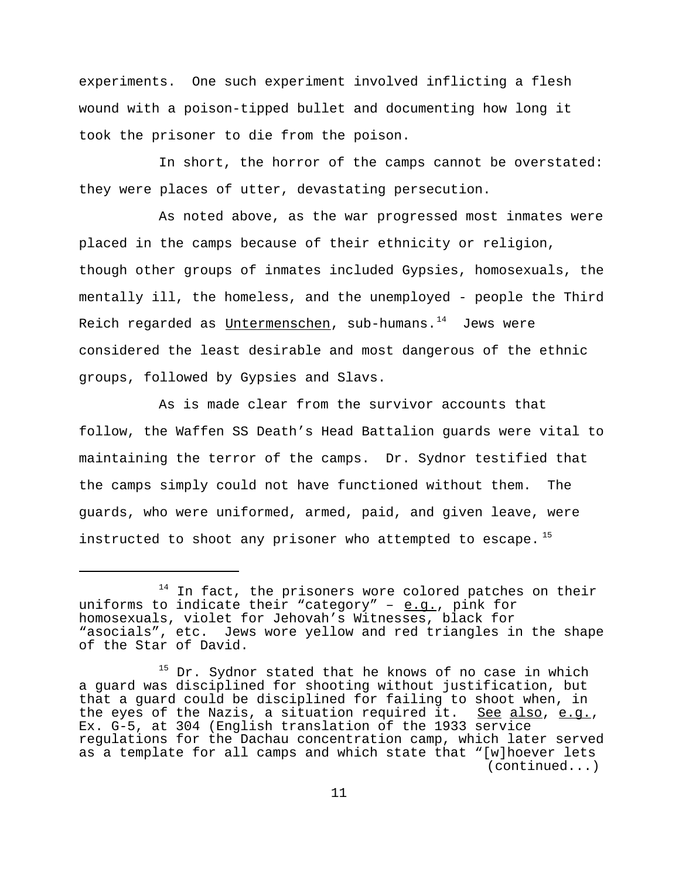experiments. One such experiment involved inflicting a flesh wound with a poison-tipped bullet and documenting how long it took the prisoner to die from the poison.

In short, the horror of the camps cannot be overstated: they were places of utter, devastating persecution.

As noted above, as the war progressed most inmates were placed in the camps because of their ethnicity or religion, though other groups of inmates included Gypsies, homosexuals, the mentally ill, the homeless, and the unemployed - people the Third Reich regarded as Untermenschen, sub-humans. $14$  Jews were considered the least desirable and most dangerous of the ethnic groups, followed by Gypsies and Slavs.

As is made clear from the survivor accounts that follow, the Waffen SS Death's Head Battalion guards were vital to maintaining the terror of the camps. Dr. Sydnor testified that the camps simply could not have functioned without them. The guards, who were uniformed, armed, paid, and given leave, were instructed to shoot any prisoner who attempted to escape.  $^{15}$ 

In fact, the prisoners wore colored patches on their uniforms to indicate their "category" -  $e.g.,$  pink for homosexuals, violet for Jehovah's Witnesses, black for "asocials", etc. Jews wore yellow and red triangles in the shape of the Star of David.

<sup>&</sup>lt;sup>15</sup> Dr. Sydnor stated that he knows of no case in which a guard was disciplined for shooting without justification, but that a guard could be disciplined for failing to shoot when, in the eyes of the Nazis, a situation required it. See also, e.g.,<br>Ex. G-5, at 304 (English translation of the 1933 service regulations for the Dachau concentration camp, which later served as a template for all camps and which state that "[w]hoever lets (continued...)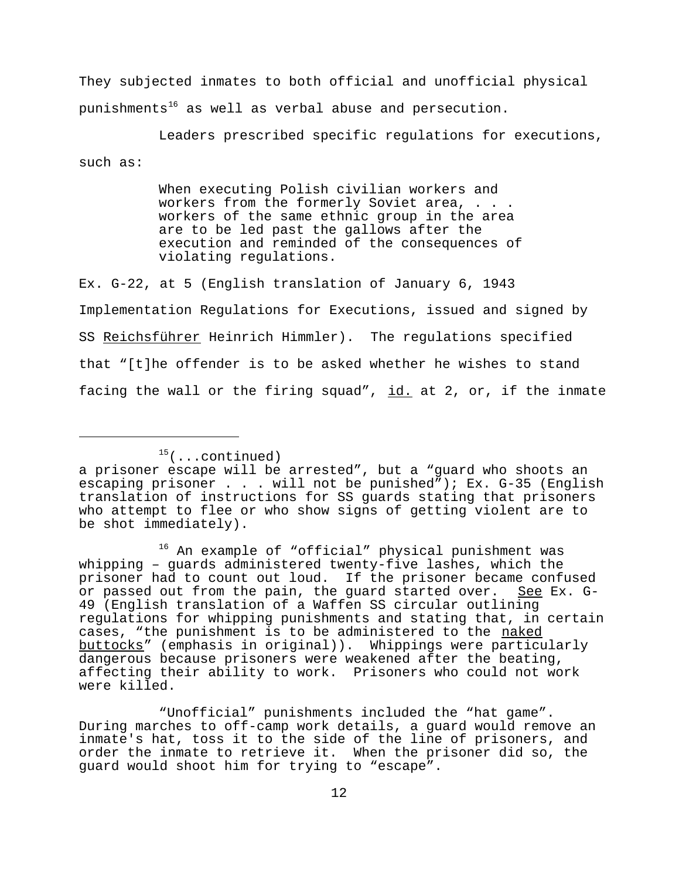They subjected inmates to both official and unofficial physical punishments<sup>16</sup> as well as verbal abuse and persecution.

Leaders prescribed specific regulations for executions, such as:

> When executing Polish civilian workers and workers from the formerly Soviet area, . . . workers of the same ethnic group in the area are to be led past the gallows after the execution and reminded of the consequences of violating regulations.

Ex. G-22, at 5 (English translation of January 6, 1943 Implementation Regulations for Executions, issued and signed by SS Reichsführer Heinrich Himmler). The regulations specified that "[t]he offender is to be asked whether he wishes to stand facing the wall or the firing squad",  $id.$  at 2, or, if the inmate

16 An example of "official" physical punishment was whipping – guards administered twenty-five lashes, which the prisoner had to count out loud. If the prisoner became confused or passed out from the pain, the guard started over. See Ex. G-49 (English translation of a Waffen SS circular outlining regulations for whipping punishments and stating that, in certain cases, "the punishment is to be administered to the naked buttocks" (emphasis in original)). Whippings were particularly dangerous because prisoners were weakened after the beating, affecting their ability to work. Prisoners who could not work were killed.

"Unofficial" punishments included the "hat game". During marches to off-camp work details, a guard would remove an inmate's hat, toss it to the side of the line of prisoners, and order the inmate to retrieve it. When the prisoner did so, the guard would shoot him for trying to "escape".

 $15$ (...continued)

a prisoner escape will be arrested", but a "guard who shoots an escaping prisoner . . . will not be punished"); Ex. G-35 (English translation of instructions for SS guards stating that prisoners who attempt to flee or who show signs of getting violent are to be shot immediately).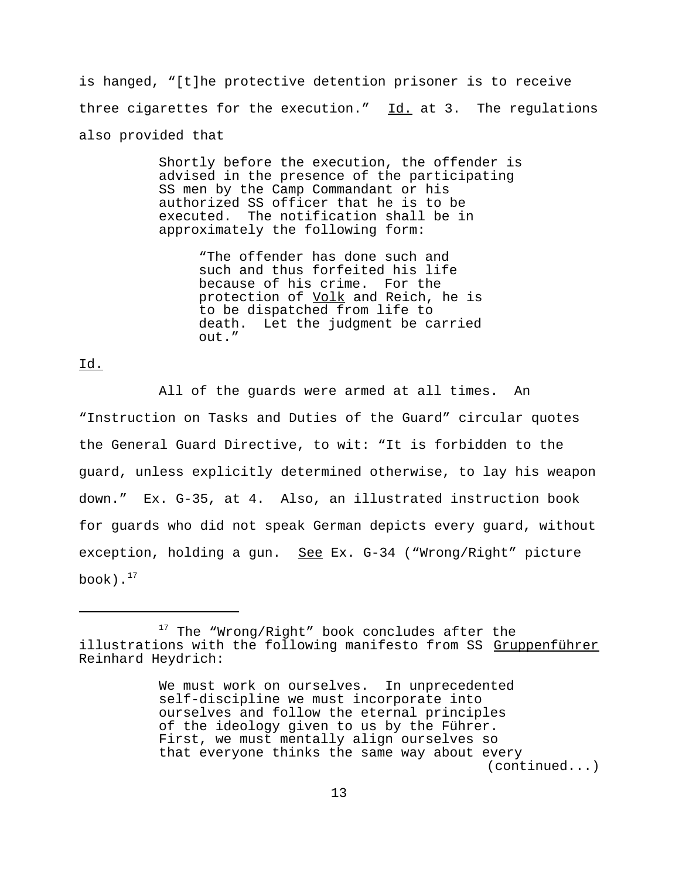is hanged, "[t]he protective detention prisoner is to receive three cigarettes for the execution."  $\underline{Id.}$  at 3. The regulations also provided that

> Shortly before the execution, the offender is advised in the presence of the participating SS men by the Camp Commandant or his authorized SS officer that he is to be executed. The notification shall be in approximately the following form:

> > "The offender has done such and such and thus forfeited his life because of his crime. For the protection of Volk and Reich, he is to be dispatched from life to death. Let the judgment be carried out."

# Id.

All of the guards were armed at all times. An "Instruction on Tasks and Duties of the Guard" circular quotes the General Guard Directive, to wit: "It is forbidden to the guard, unless explicitly determined otherwise, to lay his weapon down." Ex. G-35, at 4. Also, an illustrated instruction book for guards who did not speak German depicts every guard, without exception, holding a gun. See Ex. G-34 ("Wrong/Right" picture book). $^{17}$ 

<sup>&</sup>lt;sup>17</sup> The "Wrong/Right" book concludes after the illustrations with the following manifesto from SS Gruppenführer Reinhard Heydrich:

We must work on ourselves. In unprecedented self-discipline we must incorporate into ourselves and follow the eternal principles of the ideology given to us by the Führer. First, we must mentally align ourselves so that everyone thinks the same way about every (continued...)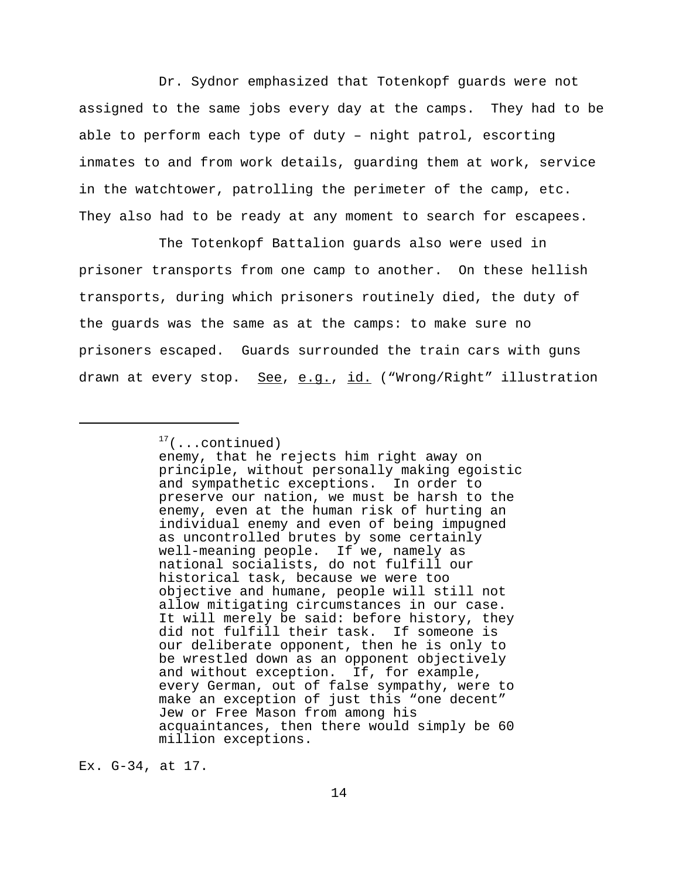Dr. Sydnor emphasized that Totenkopf guards were not assigned to the same jobs every day at the camps. They had to be able to perform each type of duty – night patrol, escorting inmates to and from work details, guarding them at work, service in the watchtower, patrolling the perimeter of the camp, etc. They also had to be ready at any moment to search for escapees.

The Totenkopf Battalion guards also were used in prisoner transports from one camp to another. On these hellish transports, during which prisoners routinely died, the duty of the guards was the same as at the camps: to make sure no prisoners escaped. Guards surrounded the train cars with guns drawn at every stop. See, e.g., id. ("Wrong/Right" illustration

Ex. G-34, at 17.

 $17$ (...continued)

enemy, that he rejects him right away on principle, without personally making egoistic and sympathetic exceptions. In order to preserve our nation, we must be harsh to the enemy, even at the human risk of hurting an individual enemy and even of being impugned as uncontrolled brutes by some certainly well-meaning people. If we, namely as national socialists, do not fulfill our historical task, because we were too objective and humane, people will still not allow mitigating circumstances in our case. It will merely be said: before history, they did not fulfill their task. If someone is our deliberate opponent, then he is only to be wrestled down as an opponent objectively and without exception. If, for example, every German, out of false sympathy, were to make an exception of just this "one decent" Jew or Free Mason from among his acquaintances, then there would simply be 60 million exceptions.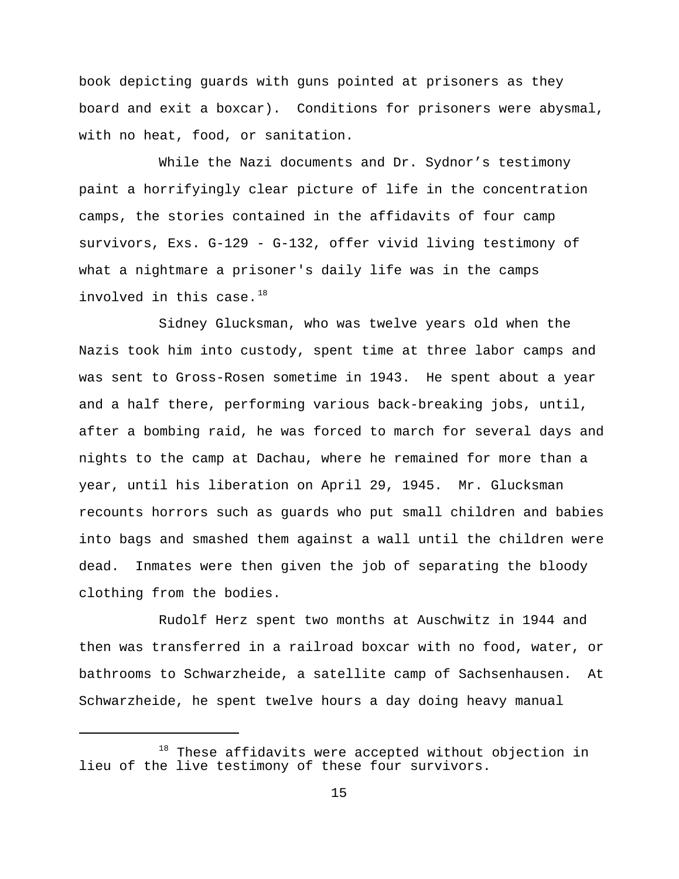book depicting guards with guns pointed at prisoners as they board and exit a boxcar). Conditions for prisoners were abysmal, with no heat, food, or sanitation.

While the Nazi documents and Dr. Sydnor's testimony paint a horrifyingly clear picture of life in the concentration camps, the stories contained in the affidavits of four camp survivors, Exs. G-129 - G-132, offer vivid living testimony of what a nightmare a prisoner's daily life was in the camps involved in this case. $18$ 

Sidney Glucksman, who was twelve years old when the Nazis took him into custody, spent time at three labor camps and was sent to Gross-Rosen sometime in 1943. He spent about a year and a half there, performing various back-breaking jobs, until, after a bombing raid, he was forced to march for several days and nights to the camp at Dachau, where he remained for more than a year, until his liberation on April 29, 1945. Mr. Glucksman recounts horrors such as guards who put small children and babies into bags and smashed them against a wall until the children were dead. Inmates were then given the job of separating the bloody clothing from the bodies.

Rudolf Herz spent two months at Auschwitz in 1944 and then was transferred in a railroad boxcar with no food, water, or bathrooms to Schwarzheide, a satellite camp of Sachsenhausen. At Schwarzheide, he spent twelve hours a day doing heavy manual

 $18$  These affidavits were accepted without objection in lieu of the live testimony of these four survivors.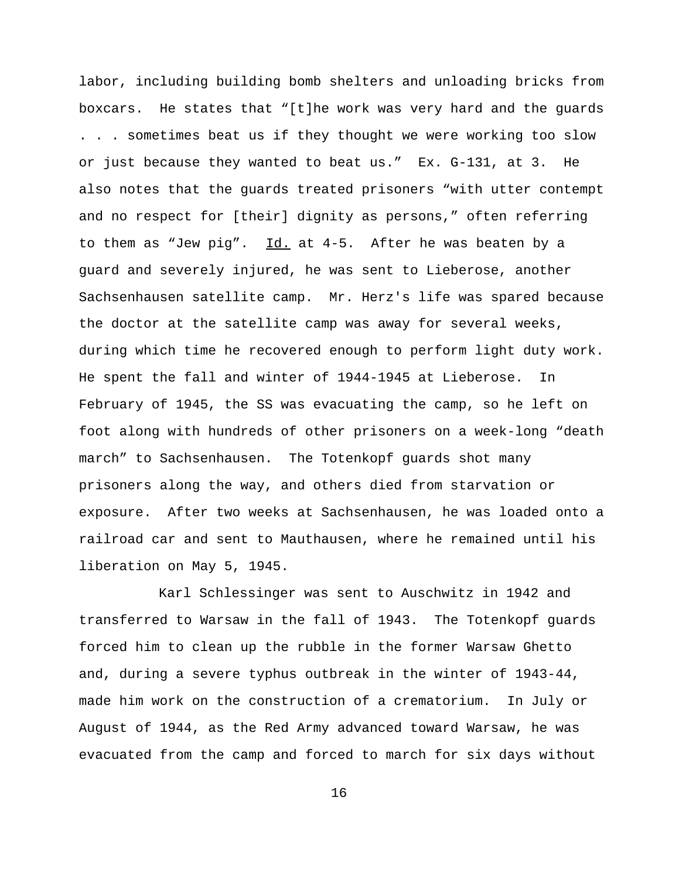labor, including building bomb shelters and unloading bricks from boxcars. He states that "[t]he work was very hard and the guards . . . sometimes beat us if they thought we were working too slow or just because they wanted to beat us." Ex. G-131, at 3. He also notes that the guards treated prisoners "with utter contempt and no respect for [their] dignity as persons," often referring to them as "Jew pig". Id. at 4-5. After he was beaten by a guard and severely injured, he was sent to Lieberose, another Sachsenhausen satellite camp. Mr. Herz's life was spared because the doctor at the satellite camp was away for several weeks, during which time he recovered enough to perform light duty work. He spent the fall and winter of 1944-1945 at Lieberose. In February of 1945, the SS was evacuating the camp, so he left on foot along with hundreds of other prisoners on a week-long "death march" to Sachsenhausen. The Totenkopf guards shot many prisoners along the way, and others died from starvation or exposure. After two weeks at Sachsenhausen, he was loaded onto a railroad car and sent to Mauthausen, where he remained until his liberation on May 5, 1945.

Karl Schlessinger was sent to Auschwitz in 1942 and transferred to Warsaw in the fall of 1943. The Totenkopf guards forced him to clean up the rubble in the former Warsaw Ghetto and, during a severe typhus outbreak in the winter of 1943-44, made him work on the construction of a crematorium. In July or August of 1944, as the Red Army advanced toward Warsaw, he was evacuated from the camp and forced to march for six days without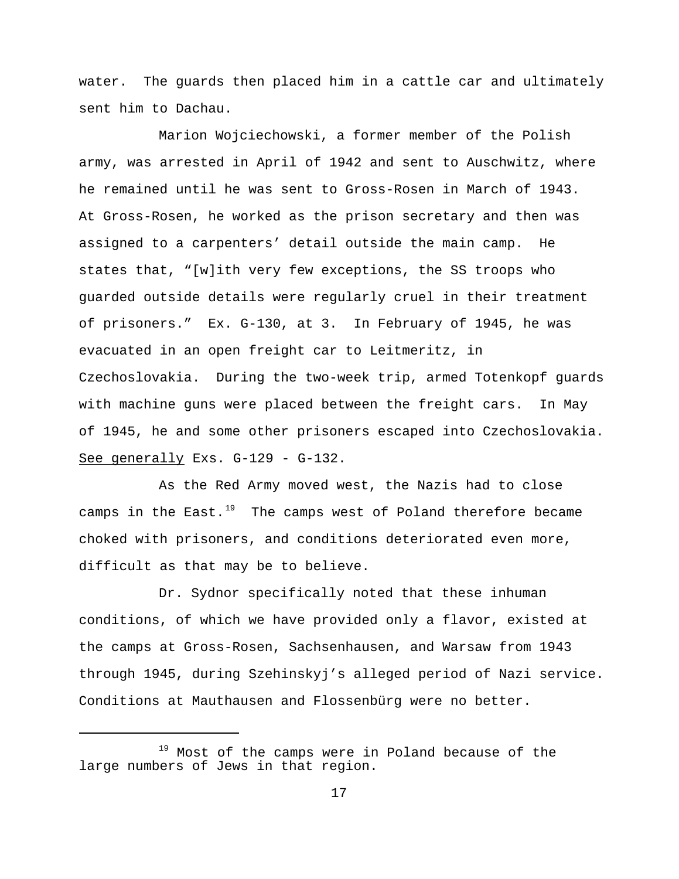water. The guards then placed him in a cattle car and ultimately sent him to Dachau.

Marion Wojciechowski, a former member of the Polish army, was arrested in April of 1942 and sent to Auschwitz, where he remained until he was sent to Gross-Rosen in March of 1943. At Gross-Rosen, he worked as the prison secretary and then was assigned to a carpenters' detail outside the main camp. He states that, "[w]ith very few exceptions, the SS troops who guarded outside details were regularly cruel in their treatment of prisoners." Ex. G-130, at 3. In February of 1945, he was evacuated in an open freight car to Leitmeritz, in Czechoslovakia. During the two-week trip, armed Totenkopf guards with machine guns were placed between the freight cars. In May of 1945, he and some other prisoners escaped into Czechoslovakia. See generally Exs. G-129 - G-132.

As the Red Army moved west, the Nazis had to close camps in the East. $19$  The camps west of Poland therefore became choked with prisoners, and conditions deteriorated even more, difficult as that may be to believe.

Dr. Sydnor specifically noted that these inhuman conditions, of which we have provided only a flavor, existed at the camps at Gross-Rosen, Sachsenhausen, and Warsaw from 1943 through 1945, during Szehinskyj's alleged period of Nazi service. Conditions at Mauthausen and Flossenbürg were no better.

<sup>&</sup>lt;sup>19</sup> Most of the camps were in Poland because of the large numbers of Jews in that region.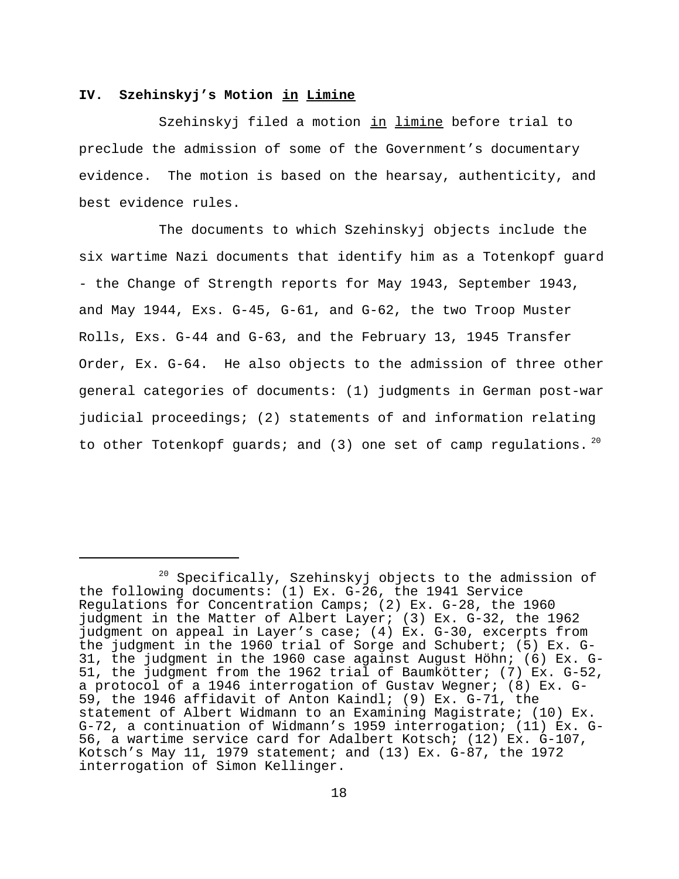## **IV. Szehinskyj's Motion in Limine**

Szehinskyj filed a motion in limine before trial to preclude the admission of some of the Government's documentary evidence. The motion is based on the hearsay, authenticity, and best evidence rules.

The documents to which Szehinskyj objects include the six wartime Nazi documents that identify him as a Totenkopf guard - the Change of Strength reports for May 1943, September 1943, and May 1944, Exs. G-45, G-61, and G-62, the two Troop Muster Rolls, Exs. G-44 and G-63, and the February 13, 1945 Transfer Order, Ex. G-64. He also objects to the admission of three other general categories of documents: (1) judgments in German post-war judicial proceedings; (2) statements of and information relating to other Totenkopf guards; and (3) one set of camp regulations.  $20$ 

<sup>&</sup>lt;sup>20</sup> Specifically, Szehinskyj objects to the admission of the following documents: (1) Ex. G-26, the 1941 Service Regulations for Concentration Camps; (2) Ex. G-28, the 1960 judgment in the Matter of Albert Layer; (3) Ex. G-32, the 1962 judgment on appeal in Layer's case; (4) Ex. G-30, excerpts from the judgment in the 1960 trial of Sorge and Schubert; (5) Ex. G-31, the judgment in the 1960 case against August Höhn; (6) Ex. G-51, the judgment from the 1962 trial of Baumkötter; (7) Ex. G-52, a protocol of a 1946 interrogation of Gustav Wegner; (8) Ex. G-59, the 1946 affidavit of Anton Kaindl; (9) Ex. G-71, the statement of Albert Widmann to an Examining Magistrate; (10) Ex. G-72, a continuation of Widmann's 1959 interrogation; (11) Ex. G-56, a wartime service card for Adalbert Kotsch; (12) Ex. G-107, Kotsch's May 11, 1979 statement; and (13) Ex. G-87, the 1972 interrogation of Simon Kellinger.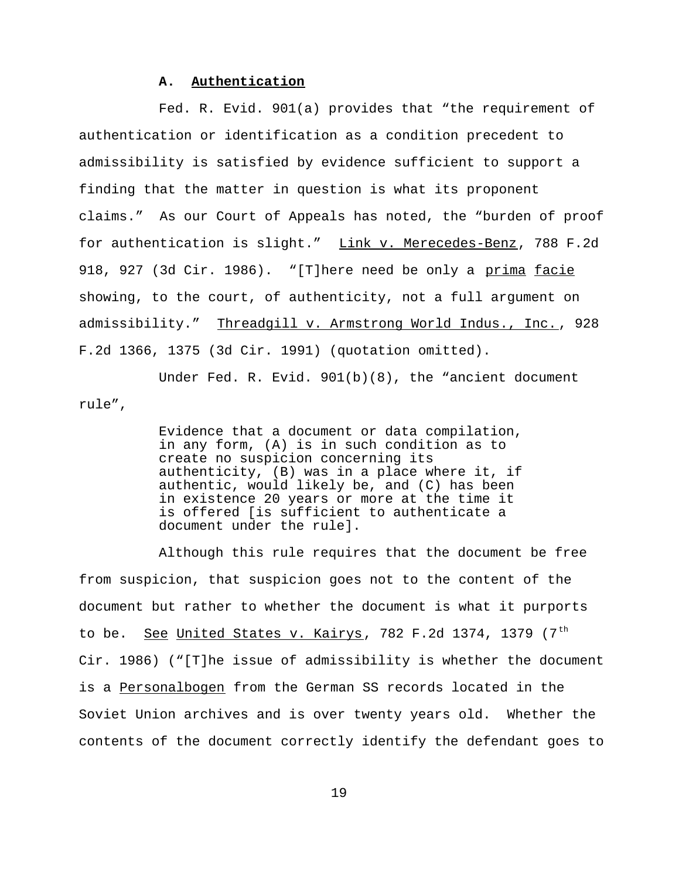### **A. Authentication**

Fed. R. Evid. 901(a) provides that "the requirement of authentication or identification as a condition precedent to admissibility is satisfied by evidence sufficient to support a finding that the matter in question is what its proponent claims." As our Court of Appeals has noted, the "burden of proof for authentication is slight." Link v. Merecedes-Benz, 788 F.2d 918, 927 (3d Cir. 1986). "[T]here need be only a prima facie showing, to the court, of authenticity, not a full argument on admissibility." Threadgill v. Armstrong World Indus., Inc. , 928 F.2d 1366, 1375 (3d Cir. 1991) (quotation omitted).

Under Fed. R. Evid. 901(b)(8), the "ancient document rule",

> Evidence that a document or data compilation, in any form, (A) is in such condition as to create no suspicion concerning its authenticity, (B) was in a place where it, if authentic, would likely be, and (C) has been in existence 20 years or more at the time it is offered [is sufficient to authenticate a document under the rule].

Although this rule requires that the document be free from suspicion, that suspicion goes not to the content of the document but rather to whether the document is what it purports to be. See United States v. Kairys, 782 F.2d 1374, 1379  $(7<sup>th</sup>$ Cir. 1986) ("[T]he issue of admissibility is whether the document is a Personalbogen from the German SS records located in the Soviet Union archives and is over twenty years old. Whether the contents of the document correctly identify the defendant goes to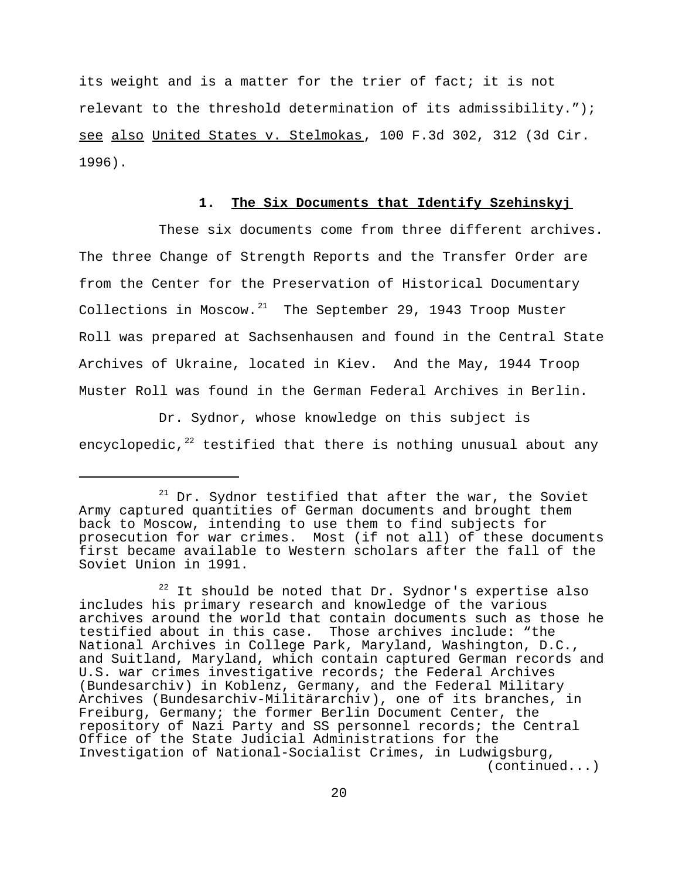its weight and is a matter for the trier of fact; it is not relevant to the threshold determination of its admissibility."); see also United States v. Stelmokas, 100 F.3d 302, 312 (3d Cir. 1996).

## **1. The Six Documents that Identify Szehinskyj**

These six documents come from three different archives. The three Change of Strength Reports and the Transfer Order are from the Center for the Preservation of Historical Documentary Collections in Moscow. $21$  The September 29, 1943 Troop Muster Roll was prepared at Sachsenhausen and found in the Central State Archives of Ukraine, located in Kiev. And the May, 1944 Troop Muster Roll was found in the German Federal Archives in Berlin.

Dr. Sydnor, whose knowledge on this subject is encyclopedic, $22$  testified that there is nothing unusual about any

 $21$  Dr. Sydnor testified that after the war, the Soviet Army captured quantities of German documents and brought them back to Moscow, intending to use them to find subjects for prosecution for war crimes. Most (if not all) of these documents first became available to Western scholars after the fall of the Soviet Union in 1991.

 $22$  It should be noted that Dr. Sydnor's expertise also includes his primary research and knowledge of the various archives around the world that contain documents such as those he testified about in this case. Those archives include: "the National Archives in College Park, Maryland, Washington, D.C., and Suitland, Maryland, which contain captured German records and U.S. war crimes investigative records; the Federal Archives (Bundesarchiv) in Koblenz, Germany, and the Federal Military Archives (Bundesarchiv-Militärarchiv), one of its branches, in Freiburg, Germany; the former Berlin Document Center, the repository of Nazi Party and SS personnel records; the Central Office of the State Judicial Administrations for the Investigation of National-Socialist Crimes, in Ludwigsburg, (continued...)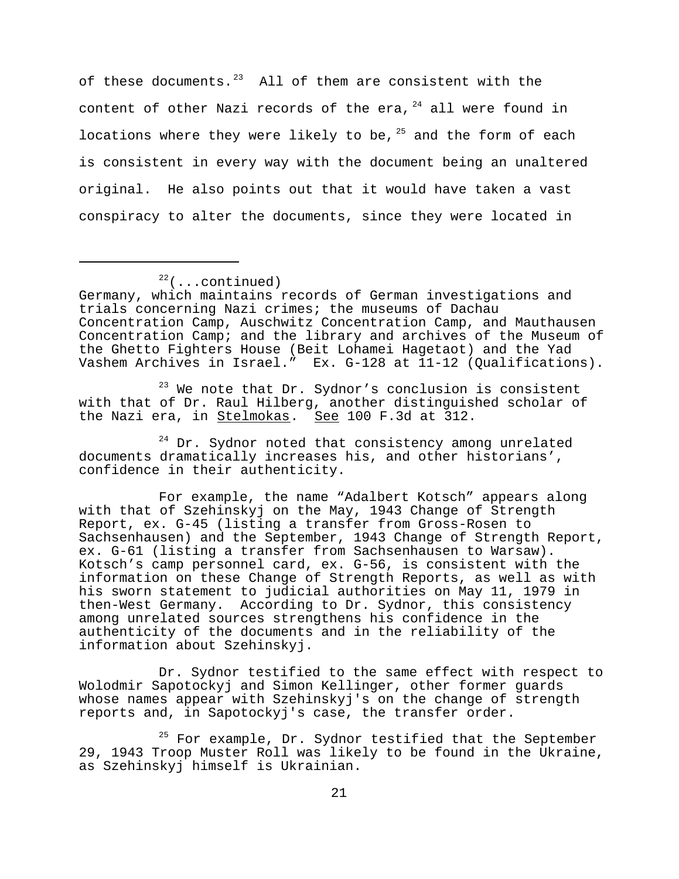of these documents. $^{23}$  All of them are consistent with the content of other Nazi records of the era,  $24$  all were found in locations where they were likely to be,  $25$  and the form of each is consistent in every way with the document being an unaltered original. He also points out that it would have taken a vast conspiracy to alter the documents, since they were located in

 $23$  We note that Dr. Sydnor's conclusion is consistent with that of Dr. Raul Hilberg, another distinguished scholar of the Nazi era, in Stelmokas. See 100 F.3d at 312.

<sup>24</sup> Dr. Sydnor noted that consistency among unrelated documents dramatically increases his, and other historians', confidence in their authenticity.

For example, the name "Adalbert Kotsch" appears along with that of Szehinskyj on the May, 1943 Change of Strength Report, ex. G-45 (listing a transfer from Gross-Rosen to Sachsenhausen) and the September, 1943 Change of Strength Report, ex. G-61 (listing a transfer from Sachsenhausen to Warsaw). Kotsch's camp personnel card, ex. G-56, is consistent with the information on these Change of Strength Reports, as well as with his sworn statement to judicial authorities on May 11, 1979 in then-West Germany. According to Dr. Sydnor, this consistency among unrelated sources strengthens his confidence in the authenticity of the documents and in the reliability of the information about Szehinskyj.

Dr. Sydnor testified to the same effect with respect to Wolodmir Sapotockyj and Simon Kellinger, other former guards whose names appear with Szehinskyj's on the change of strength reports and, in Sapotockyj's case, the transfer order.

<sup>25</sup> For example, Dr. Sydnor testified that the September 29, 1943 Troop Muster Roll was likely to be found in the Ukraine, as Szehinskyj himself is Ukrainian.

 $22$ (...continued)

Germany, which maintains records of German investigations and trials concerning Nazi crimes; the museums of Dachau Concentration Camp, Auschwitz Concentration Camp, and Mauthausen Concentration Camp; and the library and archives of the Museum of the Ghetto Fighters House (Beit Lohamei Hagetaot) and the Yad Vashem Archives in Israel." Ex. G-128 at 11-12 (Qualifications).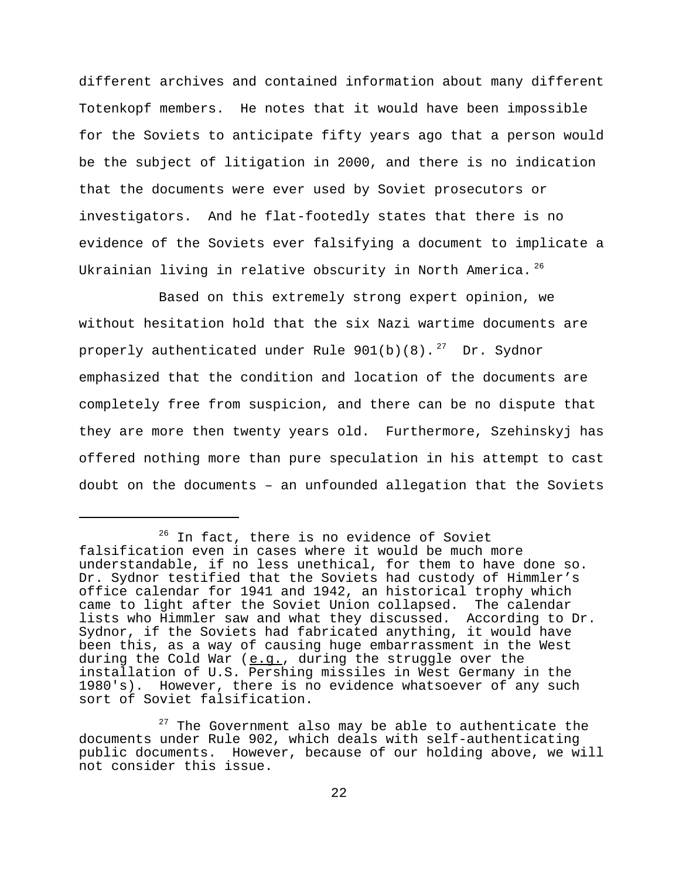different archives and contained information about many different Totenkopf members. He notes that it would have been impossible for the Soviets to anticipate fifty years ago that a person would be the subject of litigation in 2000, and there is no indication that the documents were ever used by Soviet prosecutors or investigators. And he flat-footedly states that there is no evidence of the Soviets ever falsifying a document to implicate a Ukrainian living in relative obscurity in North America.<sup>26</sup>

Based on this extremely strong expert opinion, we without hesitation hold that the six Nazi wartime documents are properly authenticated under Rule  $901(b)(8)$ . <sup>27</sup> Dr. Sydnor emphasized that the condition and location of the documents are completely free from suspicion, and there can be no dispute that they are more then twenty years old. Furthermore, Szehinskyj has offered nothing more than pure speculation in his attempt to cast doubt on the documents – an unfounded allegation that the Soviets

 $27$  The Government also may be able to authenticate the documents under Rule 902, which deals with self-authenticating public documents. However, because of our holding above, we will not consider this issue.

<sup>&</sup>lt;sup>26</sup> In fact, there is no evidence of Soviet falsification even in cases where it would be much more understandable, if no less unethical, for them to have done so. Dr. Sydnor testified that the Soviets had custody of Himmler's office calendar for 1941 and 1942, an historical trophy which came to light after the Soviet Union collapsed. The calendar lists who Himmler saw and what they discussed. According to Dr. Sydnor, if the Soviets had fabricated anything, it would have been this, as a way of causing huge embarrassment in the West during the Cold War  $(e.g.,$  during the struggle over the installation of U.S. Pershing missiles in West Germany in the 1980's). However, there is no evidence whatsoever of any such sort of Soviet falsification.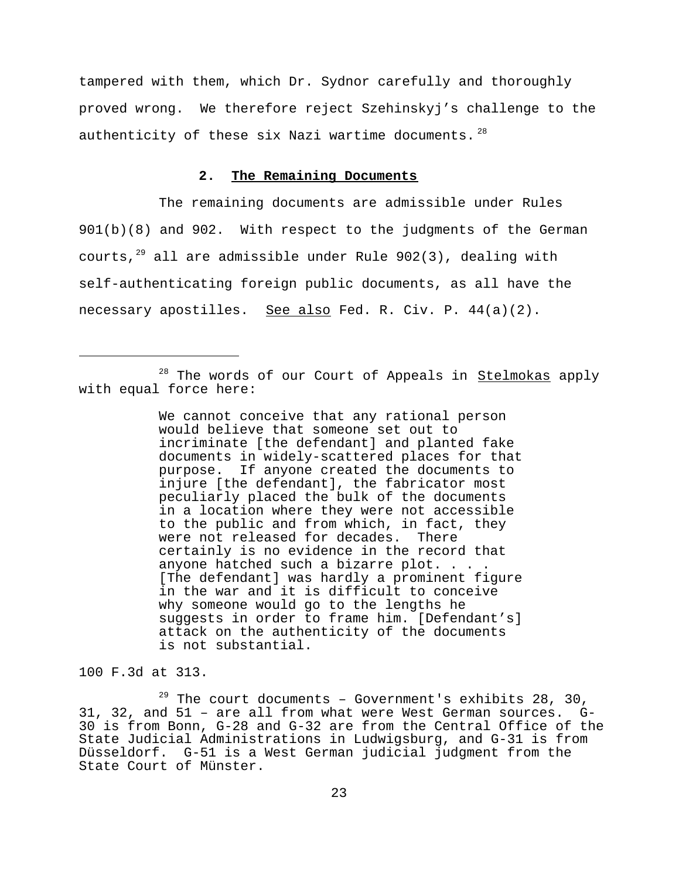tampered with them, which Dr. Sydnor carefully and thoroughly proved wrong. We therefore reject Szehinskyj's challenge to the authenticity of these six Nazi wartime documents.  $28$ 

## **2. The Remaining Documents**

The remaining documents are admissible under Rules 901(b)(8) and 902. With respect to the judgments of the German courts, $^{29}$  all are admissible under Rule 902(3), dealing with self-authenticating foreign public documents, as all have the necessary apostilles. See also Fed. R. Civ. P.  $44(a)(2)$ .

<sup>28</sup> The words of our Court of Appeals in **Stelmokas** apply with equal force here:

> We cannot conceive that any rational person would believe that someone set out to incriminate [the defendant] and planted fake documents in widely-scattered places for that purpose. If anyone created the documents to injure [the defendant], the fabricator most peculiarly placed the bulk of the documents in a location where they were not accessible to the public and from which, in fact, they were not released for decades. There certainly is no evidence in the record that anyone hatched such a bizarre plot. . . . [The defendant] was hardly a prominent figure in the war and it is difficult to conceive why someone would go to the lengths he suggests in order to frame him. [Defendant's] attack on the authenticity of the documents is not substantial.

100 F.3d at 313.

 $29$  The court documents - Government's exhibits 28, 30, 31, 32, and 51 – are all from what were West German sources. G-30 is from Bonn, G-28 and G-32 are from the Central Office of the State Judicial Administrations in Ludwigsburg, and G-31 is from Düsseldorf. G-51 is a West German judicial judgment from the State Court of Münster.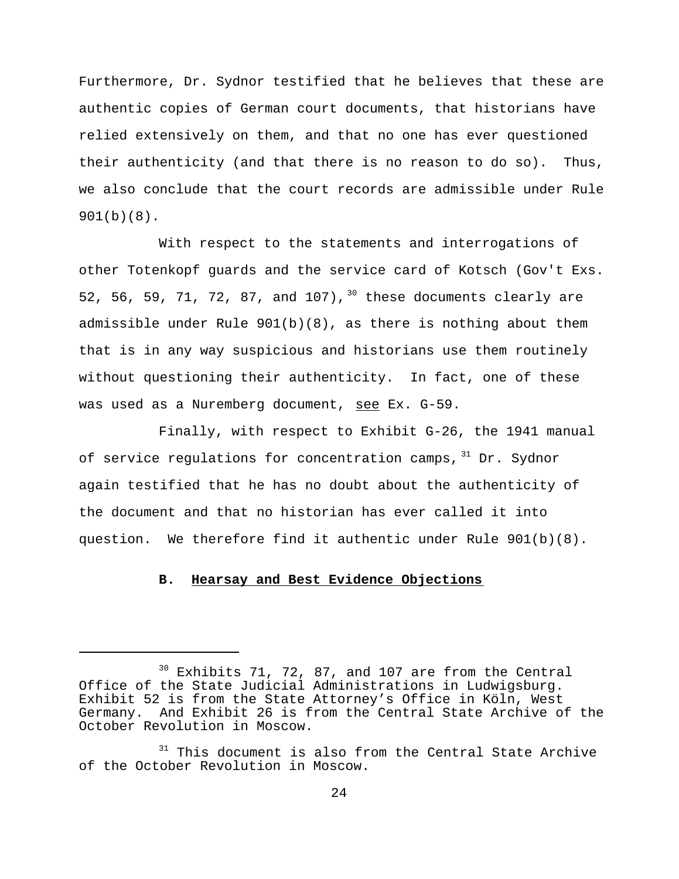Furthermore, Dr. Sydnor testified that he believes that these are authentic copies of German court documents, that historians have relied extensively on them, and that no one has ever questioned their authenticity (and that there is no reason to do so). Thus, we also conclude that the court records are admissible under Rule 901(b)(8).

With respect to the statements and interrogations of other Totenkopf guards and the service card of Kotsch (Gov't Exs. 52, 56, 59, 71, 72, 87, and 107),  $30$  these documents clearly are admissible under Rule  $901(b)(8)$ , as there is nothing about them that is in any way suspicious and historians use them routinely without questioning their authenticity. In fact, one of these was used as a Nuremberg document, see Ex. G-59.

Finally, with respect to Exhibit G-26, the 1941 manual of service regulations for concentration camps, 31 Dr. Sydnor again testified that he has no doubt about the authenticity of the document and that no historian has ever called it into question. We therefore find it authentic under Rule 901(b)(8).

#### **B. Hearsay and Best Evidence Objections**

 $30$  Exhibits 71, 72, 87, and 107 are from the Central Office of the State Judicial Administrations in Ludwigsburg. Exhibit 52 is from the State Attorney's Office in Köln, West Germany. And Exhibit 26 is from the Central State Archive of the October Revolution in Moscow.

 $31$  This document is also from the Central State Archive of the October Revolution in Moscow.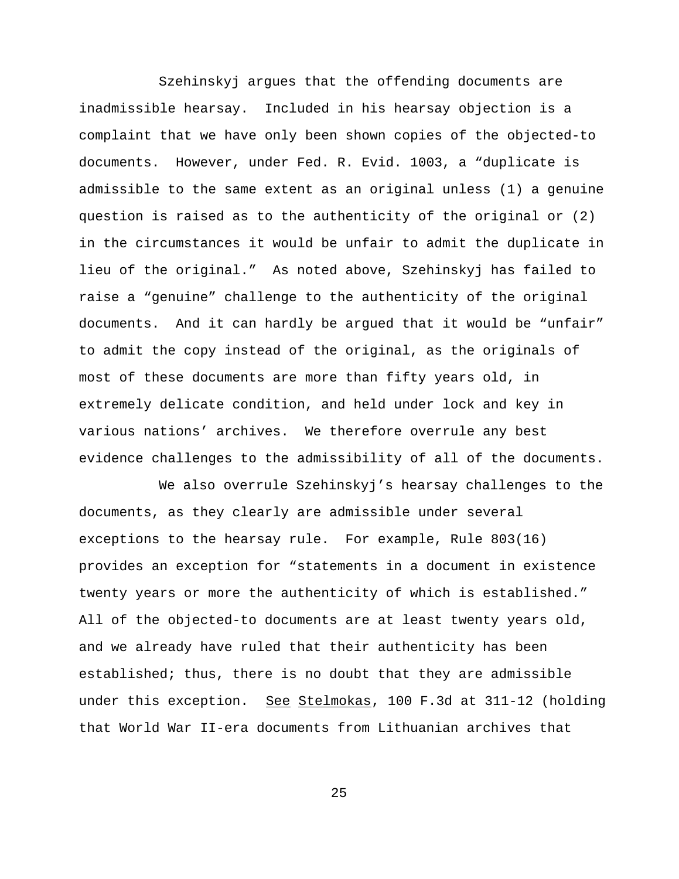Szehinskyj argues that the offending documents are inadmissible hearsay. Included in his hearsay objection is a complaint that we have only been shown copies of the objected-to documents. However, under Fed. R. Evid. 1003, a "duplicate is admissible to the same extent as an original unless (1) a genuine question is raised as to the authenticity of the original or (2) in the circumstances it would be unfair to admit the duplicate in lieu of the original." As noted above, Szehinskyj has failed to raise a "genuine" challenge to the authenticity of the original documents. And it can hardly be argued that it would be "unfair" to admit the copy instead of the original, as the originals of most of these documents are more than fifty years old, in extremely delicate condition, and held under lock and key in various nations' archives. We therefore overrule any best evidence challenges to the admissibility of all of the documents.

We also overrule Szehinskyj's hearsay challenges to the documents, as they clearly are admissible under several exceptions to the hearsay rule. For example, Rule 803(16) provides an exception for "statements in a document in existence twenty years or more the authenticity of which is established." All of the objected-to documents are at least twenty years old, and we already have ruled that their authenticity has been established; thus, there is no doubt that they are admissible under this exception. See Stelmokas, 100 F.3d at 311-12 (holding that World War II-era documents from Lithuanian archives that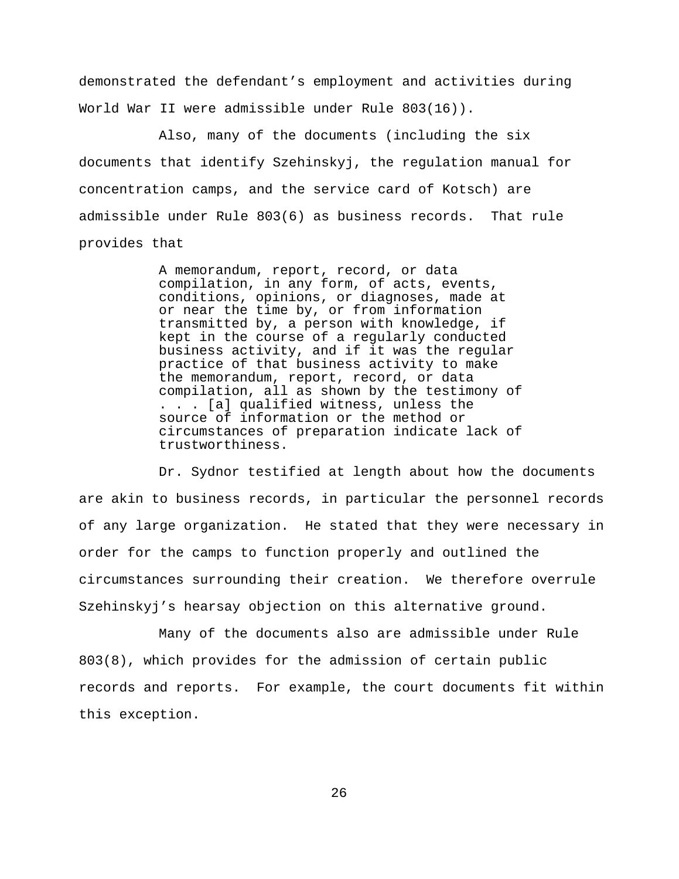demonstrated the defendant's employment and activities during World War II were admissible under Rule 803(16)).

Also, many of the documents (including the six documents that identify Szehinskyj, the regulation manual for concentration camps, and the service card of Kotsch) are admissible under Rule 803(6) as business records. That rule provides that

> A memorandum, report, record, or data compilation, in any form, of acts, events, conditions, opinions, or diagnoses, made at or near the time by, or from information transmitted by, a person with knowledge, if kept in the course of a regularly conducted business activity, and if it was the regular practice of that business activity to make the memorandum, report, record, or data compilation, all as shown by the testimony of . . . [a] qualified witness, unless the source of information or the method or circumstances of preparation indicate lack of trustworthiness.

Dr. Sydnor testified at length about how the documents are akin to business records, in particular the personnel records of any large organization. He stated that they were necessary in order for the camps to function properly and outlined the circumstances surrounding their creation. We therefore overrule Szehinskyj's hearsay objection on this alternative ground.

Many of the documents also are admissible under Rule 803(8), which provides for the admission of certain public records and reports. For example, the court documents fit within this exception.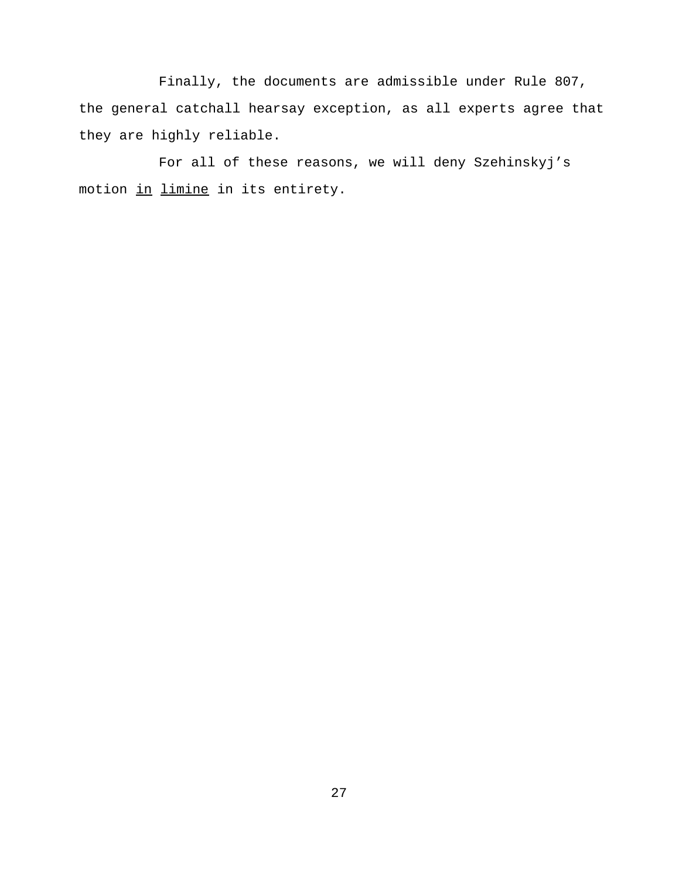Finally, the documents are admissible under Rule 807, the general catchall hearsay exception, as all experts agree that they are highly reliable.

For all of these reasons, we will deny Szehinskyj's motion in limine in its entirety.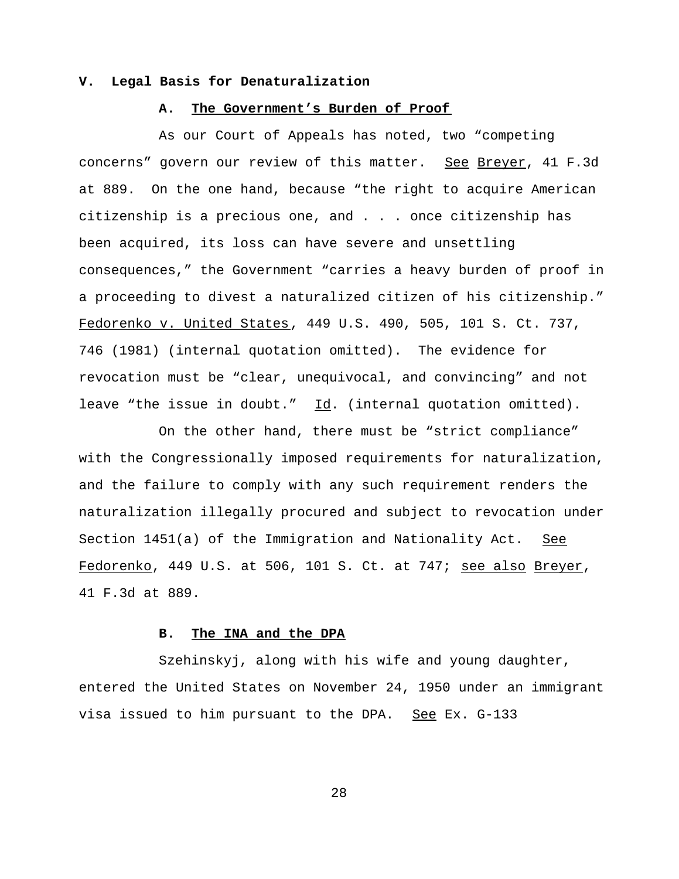#### **V. Legal Basis for Denaturalization**

## **A. The Government's Burden of Proof**

As our Court of Appeals has noted, two "competing concerns" govern our review of this matter. See Breyer, 41 F.3d at 889. On the one hand, because "the right to acquire American citizenship is a precious one, and . . . once citizenship has been acquired, its loss can have severe and unsettling consequences," the Government "carries a heavy burden of proof in a proceeding to divest a naturalized citizen of his citizenship." Fedorenko v. United States, 449 U.S. 490, 505, 101 S. Ct. 737, 746 (1981) (internal quotation omitted). The evidence for revocation must be "clear, unequivocal, and convincing" and not leave "the issue in doubt."  $\underline{Id}$ . (internal quotation omitted).

On the other hand, there must be "strict compliance" with the Congressionally imposed requirements for naturalization, and the failure to comply with any such requirement renders the naturalization illegally procured and subject to revocation under Section 1451(a) of the Immigration and Nationality Act. See Fedorenko, 449 U.S. at 506, 101 S. Ct. at 747; see also Breyer, 41 F.3d at 889.

## **B. The INA and the DPA**

Szehinskyj, along with his wife and young daughter, entered the United States on November 24, 1950 under an immigrant visa issued to him pursuant to the DPA. See Ex. G-133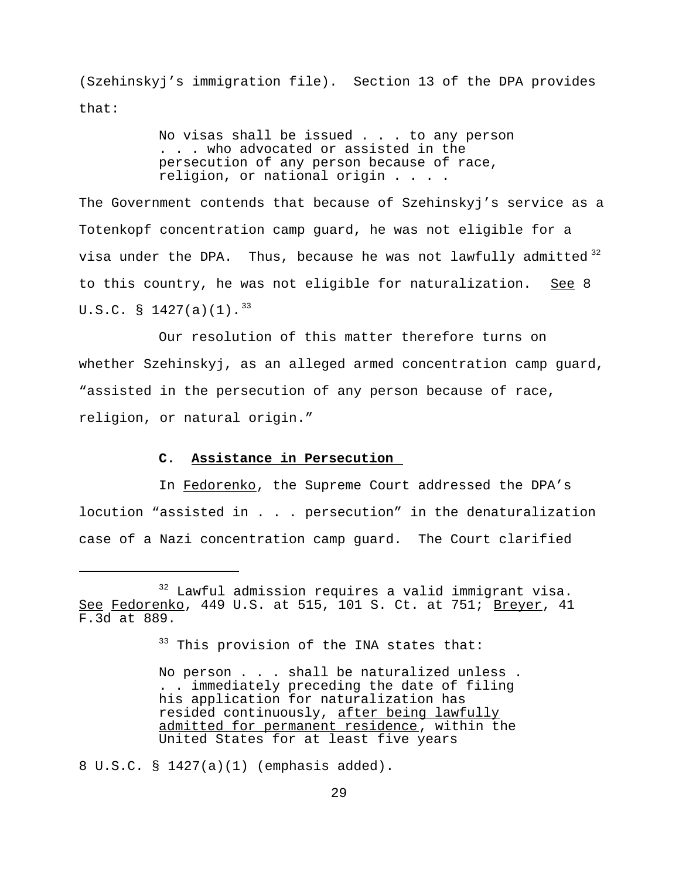(Szehinskyj's immigration file). Section 13 of the DPA provides that:

> No visas shall be issued . . . to any person . . . who advocated or assisted in the persecution of any person because of race, religion, or national origin . . . .

The Government contends that because of Szehinskyj's service as a Totenkopf concentration camp guard, he was not eligible for a visa under the DPA. Thus, because he was not lawfully admitted  $3^2$ to this country, he was not eligible for naturalization. See 8 U.S.C. § 1427(a)(1).<sup>33</sup>

Our resolution of this matter therefore turns on whether Szehinskyj, as an alleged armed concentration camp guard, "assisted in the persecution of any person because of race, religion, or natural origin."

## **C. Assistance in Persecution**

In Fedorenko, the Supreme Court addressed the DPA's locution "assisted in . . . persecution" in the denaturalization case of a Nazi concentration camp guard. The Court clarified

<sup>33</sup> This provision of the INA states that:

No person . . . shall be naturalized unless . . . immediately preceding the date of filing his application for naturalization has resided continuously, after being lawfully admitted for permanent residence, within the United States for at least five years

8 U.S.C. § 1427(a)(1) (emphasis added).

<sup>&</sup>lt;sup>32</sup> Lawful admission requires a valid immigrant visa. See Fedorenko, 449 U.S. at 515, 101 S. Ct. at 751; Breyer, 41 F.3d at 889.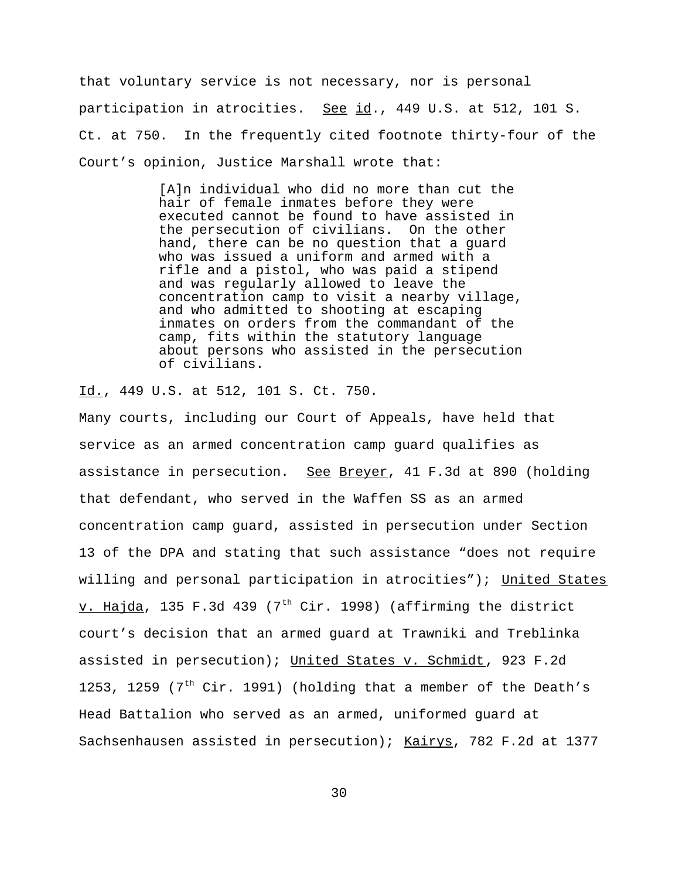that voluntary service is not necessary, nor is personal participation in atrocities. See id., 449 U.S. at 512, 101 S. Ct. at 750. In the frequently cited footnote thirty-four of the Court's opinion, Justice Marshall wrote that:

> [A]n individual who did no more than cut the hair of female inmates before they were executed cannot be found to have assisted in the persecution of civilians. On the other hand, there can be no question that a guard who was issued a uniform and armed with a rifle and a pistol, who was paid a stipend and was regularly allowed to leave the concentration camp to visit a nearby village, and who admitted to shooting at escaping inmates on orders from the commandant of the camp, fits within the statutory language about persons who assisted in the persecution of civilians.

Id., 449 U.S. at 512, 101 S. Ct. 750.

Many courts, including our Court of Appeals, have held that service as an armed concentration camp guard qualifies as assistance in persecution. See Breyer, 41 F.3d at 890 (holding that defendant, who served in the Waffen SS as an armed concentration camp guard, assisted in persecution under Section 13 of the DPA and stating that such assistance "does not require willing and personal participation in atrocities"); United States v. Hajda, 135 F.3d 439 ( $7<sup>th</sup>$  Cir. 1998) (affirming the district court's decision that an armed guard at Trawniki and Treblinka assisted in persecution); United States v. Schmidt, 923 F.2d 1253, 1259 ( $7<sup>th</sup>$  Cir. 1991) (holding that a member of the Death's Head Battalion who served as an armed, uniformed guard at Sachsenhausen assisted in persecution); Kairys, 782 F.2d at 1377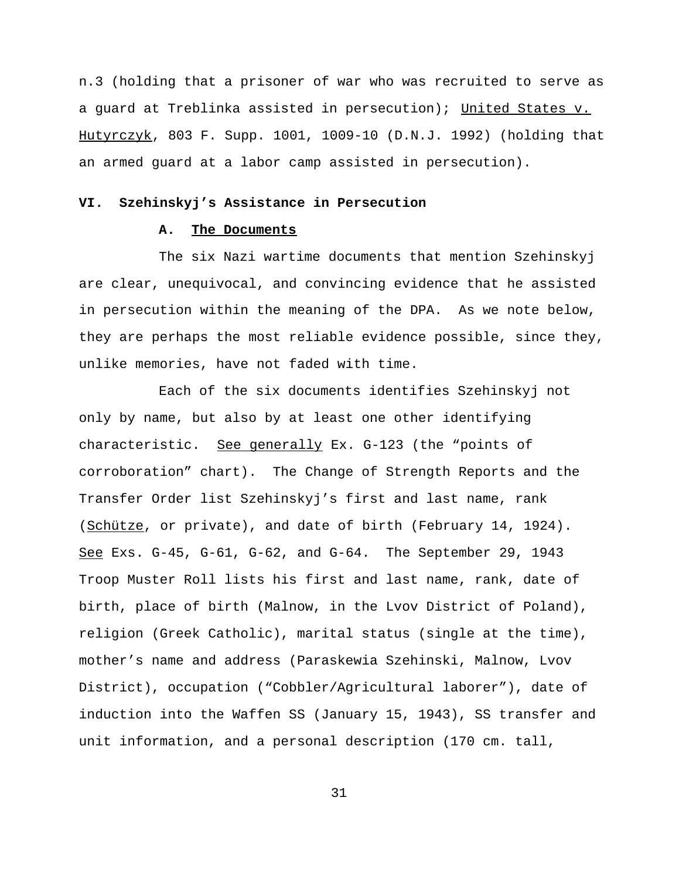n.3 (holding that a prisoner of war who was recruited to serve as a guard at Treblinka assisted in persecution); United States v. Hutyrczyk, 803 F. Supp. 1001, 1009-10 (D.N.J. 1992) (holding that an armed guard at a labor camp assisted in persecution).

#### **VI. Szehinskyj's Assistance in Persecution**

## **A. The Documents**

The six Nazi wartime documents that mention Szehinskyj are clear, unequivocal, and convincing evidence that he assisted in persecution within the meaning of the DPA. As we note below, they are perhaps the most reliable evidence possible, since they, unlike memories, have not faded with time.

Each of the six documents identifies Szehinskyj not only by name, but also by at least one other identifying characteristic. See generally Ex. G-123 (the "points of corroboration" chart). The Change of Strength Reports and the Transfer Order list Szehinskyj's first and last name, rank (Schütze, or private), and date of birth (February 14, 1924). See Exs. G-45, G-61, G-62, and G-64. The September 29, 1943 Troop Muster Roll lists his first and last name, rank, date of birth, place of birth (Malnow, in the Lvov District of Poland), religion (Greek Catholic), marital status (single at the time), mother's name and address (Paraskewia Szehinski, Malnow, Lvov District), occupation ("Cobbler/Agricultural laborer"), date of induction into the Waffen SS (January 15, 1943), SS transfer and unit information, and a personal description (170 cm. tall,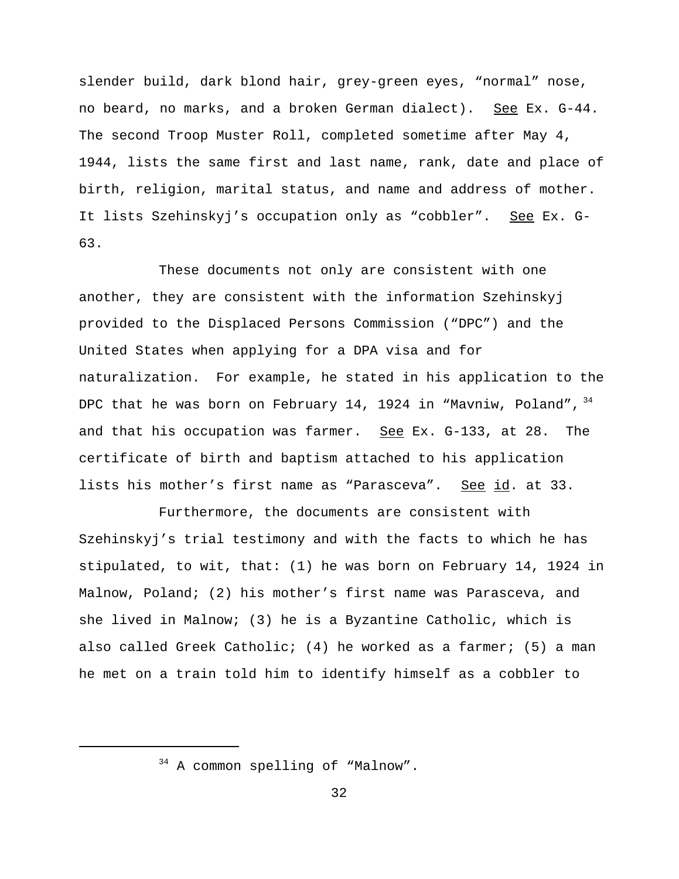slender build, dark blond hair, grey-green eyes, "normal" nose, no beard, no marks, and a broken German dialect). See Ex. G-44. The second Troop Muster Roll, completed sometime after May 4, 1944, lists the same first and last name, rank, date and place of birth, religion, marital status, and name and address of mother. It lists Szehinskyj's occupation only as "cobbler". See Ex. G-63.

These documents not only are consistent with one another, they are consistent with the information Szehinskyj provided to the Displaced Persons Commission ("DPC") and the United States when applying for a DPA visa and for naturalization. For example, he stated in his application to the DPC that he was born on February 14, 1924 in "Mavniw, Poland", 34 and that his occupation was farmer. See Ex. G-133, at 28. The certificate of birth and baptism attached to his application lists his mother's first name as "Parasceva". See id. at 33.

Furthermore, the documents are consistent with Szehinskyj's trial testimony and with the facts to which he has stipulated, to wit, that: (1) he was born on February 14, 1924 in Malnow, Poland; (2) his mother's first name was Parasceva, and she lived in Malnow; (3) he is a Byzantine Catholic, which is also called Greek Catholic; (4) he worked as a farmer; (5) a man he met on a train told him to identify himself as a cobbler to

<sup>&</sup>lt;sup>34</sup> A common spelling of "Malnow".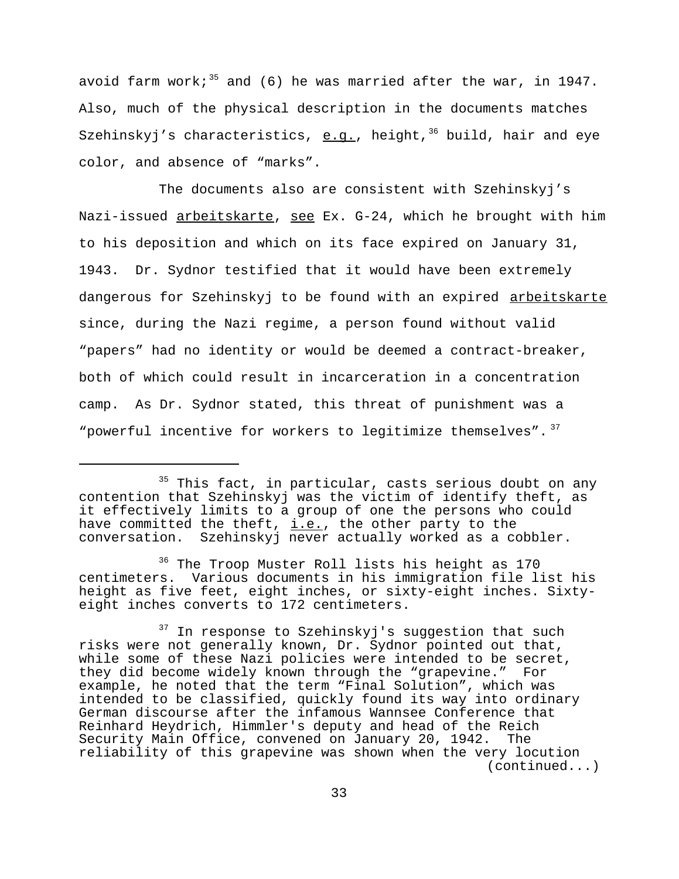avoid farm work;<sup>35</sup> and (6) he was married after the war, in 1947. Also, much of the physical description in the documents matches Szehinskyj's characteristics,  $e.g.,$  height,<sup>36</sup> build, hair and eye color, and absence of "marks".

The documents also are consistent with Szehinskyj's Nazi-issued arbeitskarte, see Ex. G-24, which he brought with him to his deposition and which on its face expired on January 31, 1943. Dr. Sydnor testified that it would have been extremely dangerous for Szehinskyj to be found with an expired arbeitskarte since, during the Nazi regime, a person found without valid "papers" had no identity or would be deemed a contract-breaker, both of which could result in incarceration in a concentration camp. As Dr. Sydnor stated, this threat of punishment was a "powerful incentive for workers to legitimize themselves".  $37$ 

<sup>&</sup>lt;sup>35</sup> This fact, in particular, casts serious doubt on any contention that Szehinskyj was the victim of identify theft, as it effectively limits to a group of one the persons who could have committed the theft,  $i.e.,$  the other party to the conversation. Szehinskyj never actually worked as a cobbler.

<sup>&</sup>lt;sup>36</sup> The Troop Muster Roll lists his height as 170 centimeters. Various documents in his immigration file list his height as five feet, eight inches, or sixty-eight inches. Sixtyeight inches converts to 172 centimeters.

<sup>&</sup>lt;sup>37</sup> In response to Szehinskyj's suggestion that such risks were not generally known, Dr. Sydnor pointed out that, while some of these Nazi policies were intended to be secret, they did become widely known through the "grapevine." For example, he noted that the term "Final Solution", which was intended to be classified, quickly found its way into ordinary German discourse after the infamous Wannsee Conference that Reinhard Heydrich, Himmler's deputy and head of the Reich Security Main Office, convened on January 20, 1942. The reliability of this grapevine was shown when the very locution (continued...)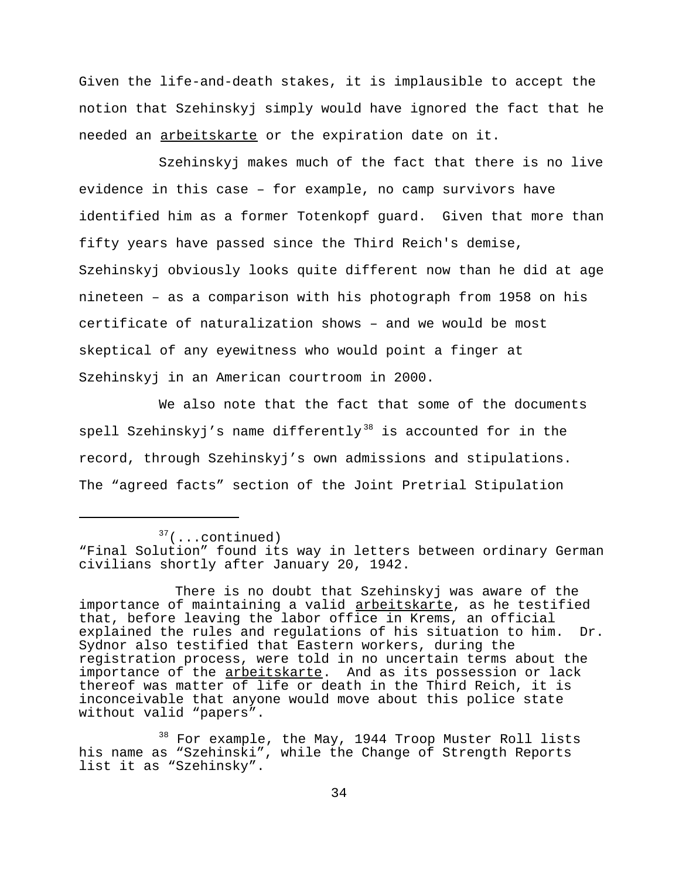Given the life-and-death stakes, it is implausible to accept the notion that Szehinskyj simply would have ignored the fact that he needed an arbeitskarte or the expiration date on it.

Szehinskyj makes much of the fact that there is no live evidence in this case – for example, no camp survivors have identified him as a former Totenkopf guard. Given that more than fifty years have passed since the Third Reich's demise, Szehinskyj obviously looks quite different now than he did at age nineteen – as a comparison with his photograph from 1958 on his certificate of naturalization shows – and we would be most skeptical of any eyewitness who would point a finger at Szehinskyj in an American courtroom in 2000.

We also note that the fact that some of the documents spell Szehinskyj's name differently<sup>38</sup> is accounted for in the record, through Szehinskyj's own admissions and stipulations. The "agreed facts" section of the Joint Pretrial Stipulation

 $37$ (...continued)

<sup>&</sup>quot;Final Solution" found its way in letters between ordinary German civilians shortly after January 20, 1942.

There is no doubt that Szehinskyj was aware of the importance of maintaining a valid arbeitskarte, as he testified that, before leaving the labor office in Krems, an official explained the rules and regulations of his situation to him. Dr. Sydnor also testified that Eastern workers, during the registration process, were told in no uncertain terms about the importance of the arbeitskarte. And as its possession or lack thereof was matter of life or death in the Third Reich, it is inconceivable that anyone would move about this police state without valid "papers".

<sup>&</sup>lt;sup>38</sup> For example, the May, 1944 Troop Muster Roll lists his name as "Szehinski", while the Change of Strength Reports list it as "Szehinsky".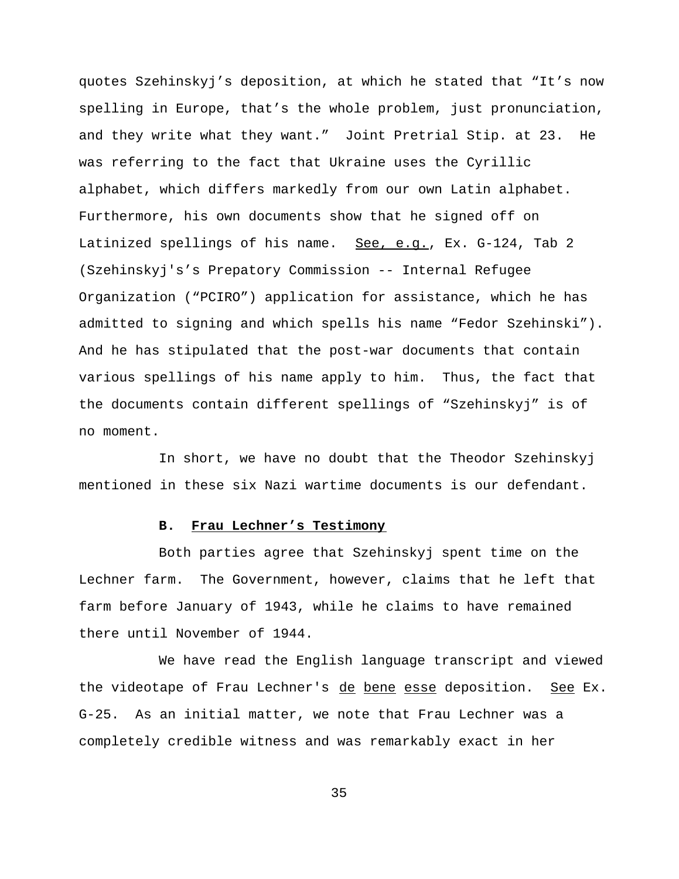quotes Szehinskyj's deposition, at which he stated that "It's now spelling in Europe, that's the whole problem, just pronunciation, and they write what they want." Joint Pretrial Stip. at 23. He was referring to the fact that Ukraine uses the Cyrillic alphabet, which differs markedly from our own Latin alphabet. Furthermore, his own documents show that he signed off on Latinized spellings of his name. See, e.g., Ex. G-124, Tab 2 (Szehinskyj's's Prepatory Commission -- Internal Refugee Organization ("PCIRO") application for assistance, which he has admitted to signing and which spells his name "Fedor Szehinski"). And he has stipulated that the post-war documents that contain various spellings of his name apply to him. Thus, the fact that the documents contain different spellings of "Szehinskyj" is of no moment.

In short, we have no doubt that the Theodor Szehinskyj mentioned in these six Nazi wartime documents is our defendant.

## **B. Frau Lechner's Testimony**

Both parties agree that Szehinskyj spent time on the Lechner farm. The Government, however, claims that he left that farm before January of 1943, while he claims to have remained there until November of 1944.

We have read the English language transcript and viewed the videotape of Frau Lechner's de bene esse deposition. See Ex. G-25. As an initial matter, we note that Frau Lechner was a completely credible witness and was remarkably exact in her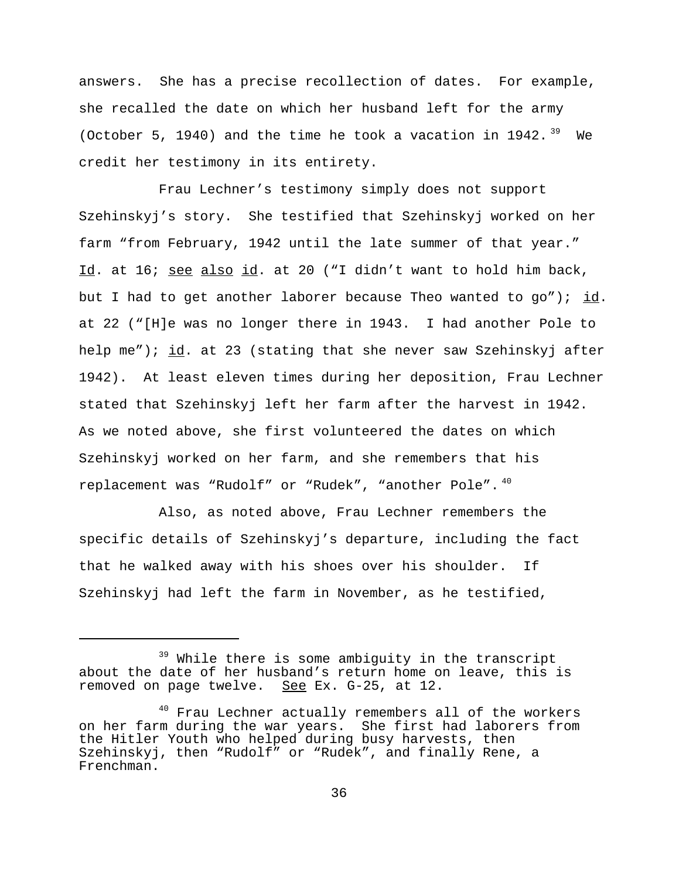answers. She has a precise recollection of dates. For example, she recalled the date on which her husband left for the army (October 5, 1940) and the time he took a vacation in 1942.  $39$  We credit her testimony in its entirety.

Frau Lechner's testimony simply does not support Szehinskyj's story. She testified that Szehinskyj worked on her farm "from February, 1942 until the late summer of that year." Id. at 16; see also id. at 20 ("I didn't want to hold him back, but I had to get another laborer because Theo wanted to go"); id. at 22 ("[H]e was no longer there in 1943. I had another Pole to help me"); id. at 23 (stating that she never saw Szehinskyj after 1942). At least eleven times during her deposition, Frau Lechner stated that Szehinskyj left her farm after the harvest in 1942. As we noted above, she first volunteered the dates on which Szehinskyj worked on her farm, and she remembers that his replacement was "Rudolf" or "Rudek", "another Pole".<sup>40</sup>

Also, as noted above, Frau Lechner remembers the specific details of Szehinskyj's departure, including the fact that he walked away with his shoes over his shoulder. If Szehinskyj had left the farm in November, as he testified,

<sup>&</sup>lt;sup>39</sup> While there is some ambiguity in the transcript about the date of her husband's return home on leave, this is removed on page twelve. See Ex. G-25, at 12.

<sup>&</sup>lt;sup>40</sup> Frau Lechner actually remembers all of the workers on her farm during the war years. She first had laborers from the Hitler Youth who helped during busy harvests, then Szehinskyj, then "Rudolf" or "Rudek", and finally Rene, a Frenchman.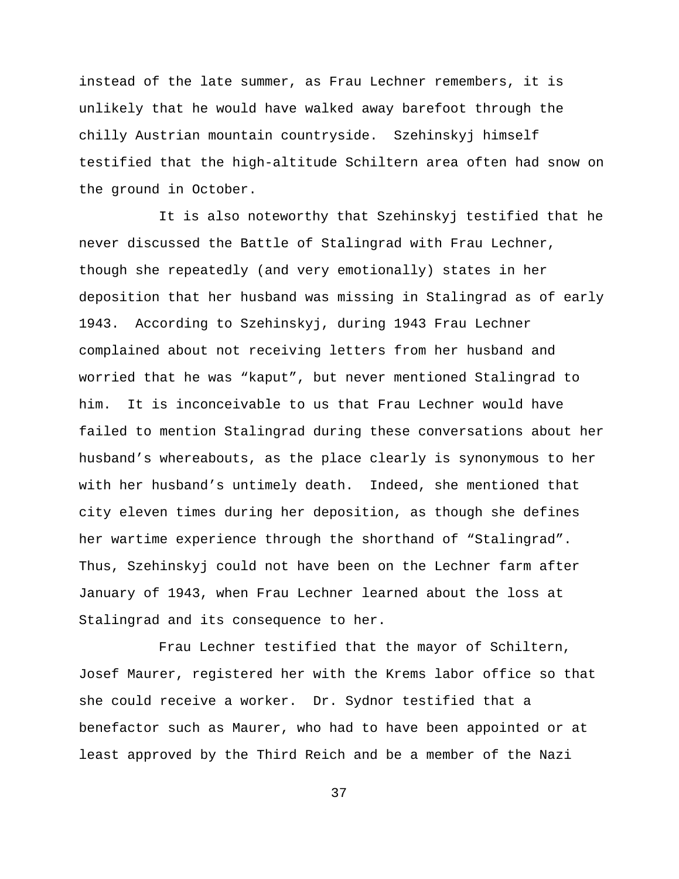instead of the late summer, as Frau Lechner remembers, it is unlikely that he would have walked away barefoot through the chilly Austrian mountain countryside. Szehinskyj himself testified that the high-altitude Schiltern area often had snow on the ground in October.

It is also noteworthy that Szehinskyj testified that he never discussed the Battle of Stalingrad with Frau Lechner, though she repeatedly (and very emotionally) states in her deposition that her husband was missing in Stalingrad as of early 1943. According to Szehinskyj, during 1943 Frau Lechner complained about not receiving letters from her husband and worried that he was "kaput", but never mentioned Stalingrad to him. It is inconceivable to us that Frau Lechner would have failed to mention Stalingrad during these conversations about her husband's whereabouts, as the place clearly is synonymous to her with her husband's untimely death. Indeed, she mentioned that city eleven times during her deposition, as though she defines her wartime experience through the shorthand of "Stalingrad". Thus, Szehinskyj could not have been on the Lechner farm after January of 1943, when Frau Lechner learned about the loss at Stalingrad and its consequence to her.

Frau Lechner testified that the mayor of Schiltern, Josef Maurer, registered her with the Krems labor office so that she could receive a worker. Dr. Sydnor testified that a benefactor such as Maurer, who had to have been appointed or at least approved by the Third Reich and be a member of the Nazi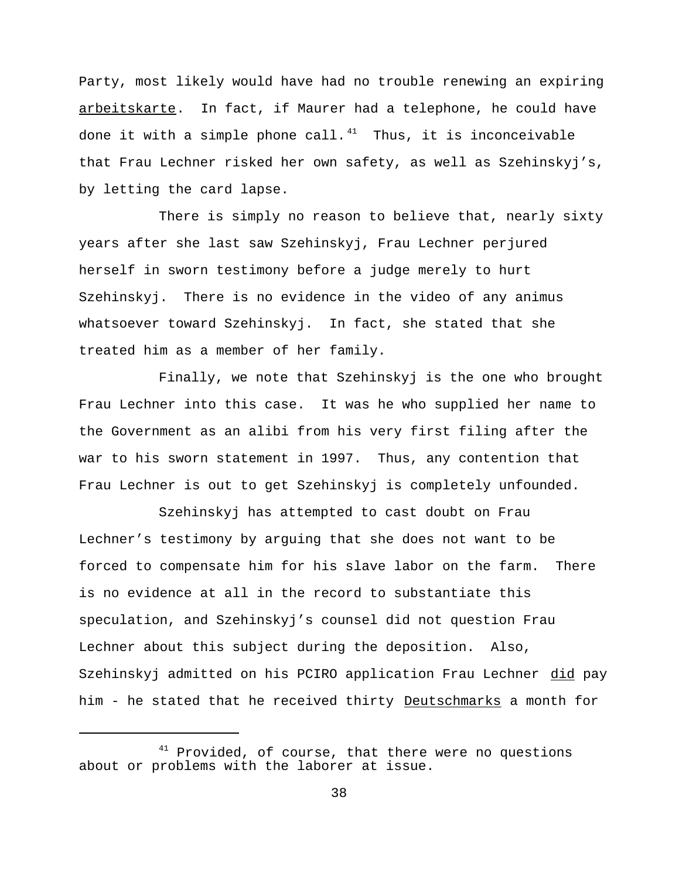Party, most likely would have had no trouble renewing an expiring arbeitskarte. In fact, if Maurer had a telephone, he could have done it with a simple phone call.<sup>41</sup> Thus, it is inconceivable that Frau Lechner risked her own safety, as well as Szehinskyj's, by letting the card lapse.

There is simply no reason to believe that, nearly sixty years after she last saw Szehinskyj, Frau Lechner perjured herself in sworn testimony before a judge merely to hurt Szehinskyj. There is no evidence in the video of any animus whatsoever toward Szehinskyj. In fact, she stated that she treated him as a member of her family.

Finally, we note that Szehinskyj is the one who brought Frau Lechner into this case. It was he who supplied her name to the Government as an alibi from his very first filing after the war to his sworn statement in 1997. Thus, any contention that Frau Lechner is out to get Szehinskyj is completely unfounded.

Szehinskyj has attempted to cast doubt on Frau Lechner's testimony by arguing that she does not want to be forced to compensate him for his slave labor on the farm. There is no evidence at all in the record to substantiate this speculation, and Szehinskyj's counsel did not question Frau Lechner about this subject during the deposition. Also, Szehinskyj admitted on his PCIRO application Frau Lechner did pay him - he stated that he received thirty Deutschmarks a month for

 $41$  Provided, of course, that there were no questions about or problems with the laborer at issue.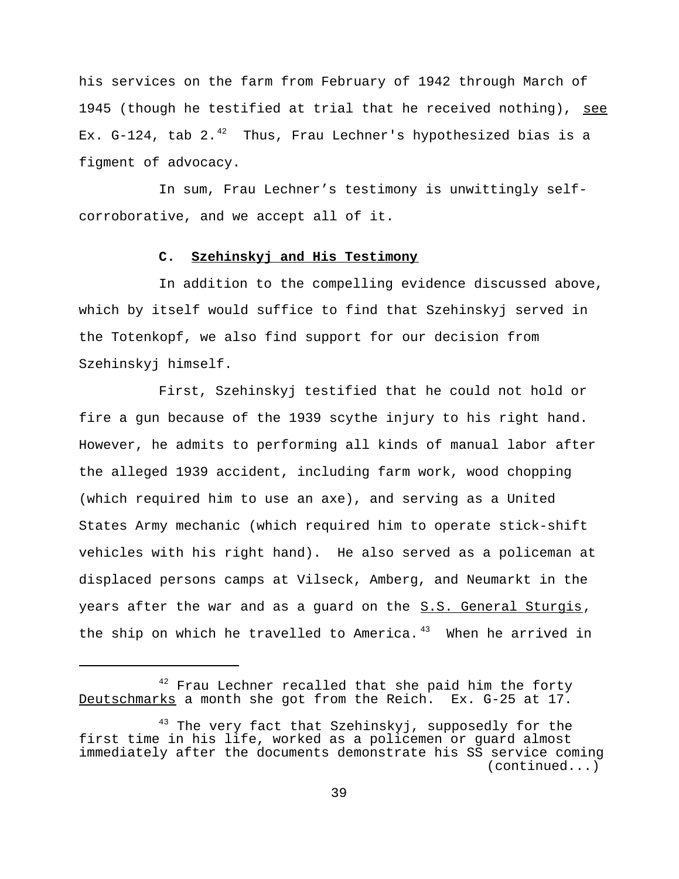his services on the farm from February of 1942 through March of 1945 (though he testified at trial that he received nothing), see Ex. G-124, tab 2.<sup>42</sup> Thus, Frau Lechner's hypothesized bias is a figment of advocacy.

In sum, Frau Lechner's testimony is unwittingly selfcorroborative, and we accept all of it.

## **C. Szehinskyj and His Testimony**

In addition to the compelling evidence discussed above, which by itself would suffice to find that Szehinskyj served in the Totenkopf, we also find support for our decision from Szehinskyj himself.

First, Szehinskyj testified that he could not hold or fire a gun because of the 1939 scythe injury to his right hand. However, he admits to performing all kinds of manual labor after the alleged 1939 accident, including farm work, wood chopping (which required him to use an axe), and serving as a United States Army mechanic (which required him to operate stick-shift vehicles with his right hand). He also served as a policeman at displaced persons camps at Vilseck, Amberg, and Neumarkt in the years after the war and as a guard on the S.S. General Sturgis, the ship on which he travelled to America. $43$  When he arrived in

 $42$  Frau Lechner recalled that she paid him the forty Deutschmarks a month she got from the Reich. Ex. G-25 at 17.

<sup>&</sup>lt;sup>43</sup> The very fact that Szehinskyj, supposedly for the first time in his life, worked as a policemen or guard almost immediately after the documents demonstrate his SS service coming (continued...)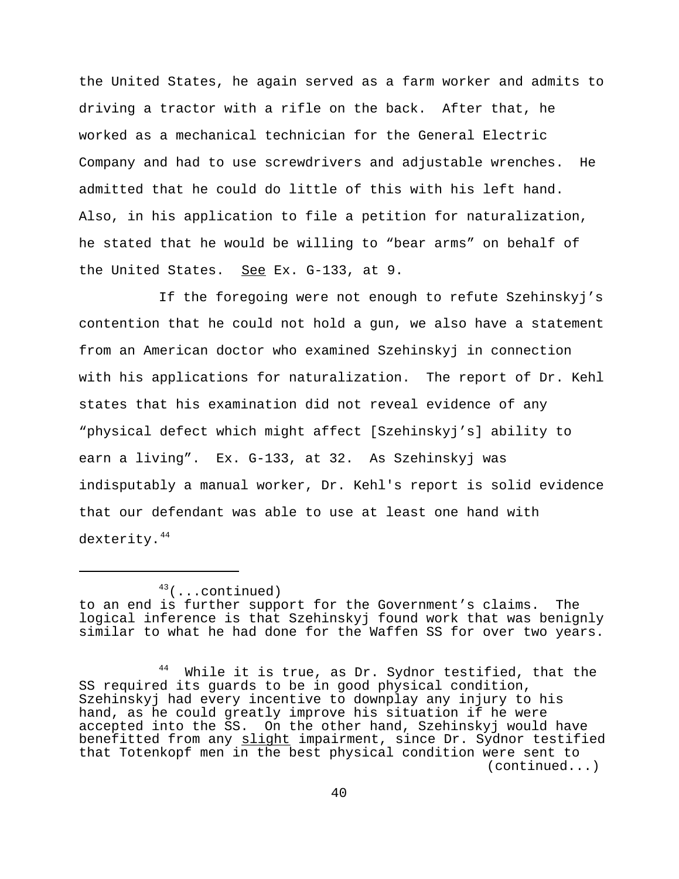the United States, he again served as a farm worker and admits to driving a tractor with a rifle on the back. After that, he worked as a mechanical technician for the General Electric Company and had to use screwdrivers and adjustable wrenches. He admitted that he could do little of this with his left hand. Also, in his application to file a petition for naturalization, he stated that he would be willing to "bear arms" on behalf of the United States. See Ex. G-133, at 9.

If the foregoing were not enough to refute Szehinskyj's contention that he could not hold a gun, we also have a statement from an American doctor who examined Szehinskyj in connection with his applications for naturalization. The report of Dr. Kehl states that his examination did not reveal evidence of any "physical defect which might affect [Szehinskyj's] ability to earn a living". Ex. G-133, at 32. As Szehinskyj was indisputably a manual worker, Dr. Kehl's report is solid evidence that our defendant was able to use at least one hand with dexterity.<sup>44</sup>

 $43$ (...continued)

to an end is further support for the Government's claims. The logical inference is that Szehinskyj found work that was benignly similar to what he had done for the Waffen SS for over two years.

While it is true, as Dr. Sydnor testified, that the SS required its guards to be in good physical condition, Szehinskyj had every incentive to downplay any injury to his hand, as he could greatly improve his situation if he were accepted into the SS. On the other hand, Szehinskyj would have benefitted from any slight impairment, since Dr. Sydnor testified that Totenkopf men in the best physical condition were sent to (continued...)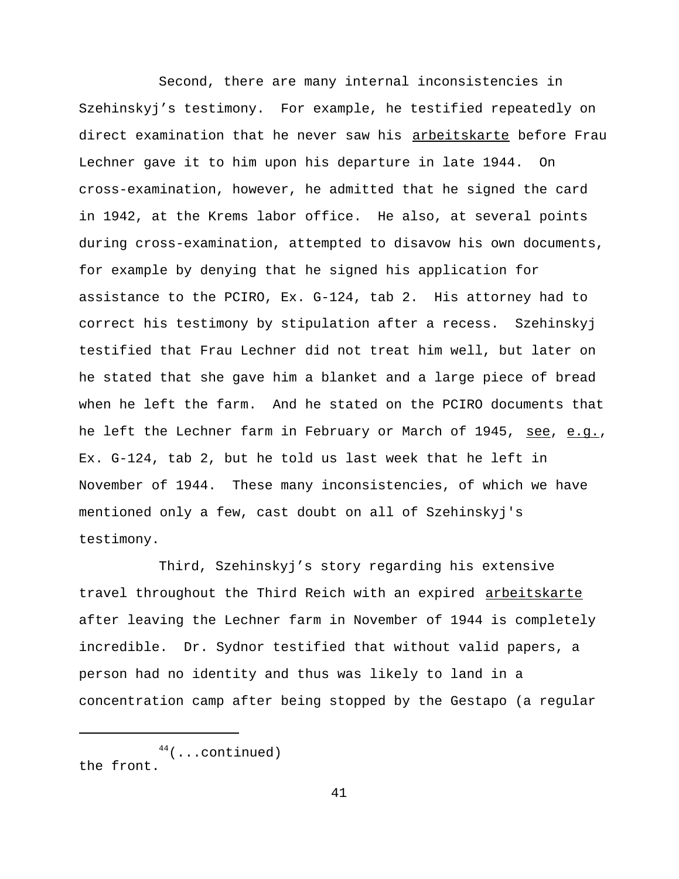Second, there are many internal inconsistencies in Szehinskyj's testimony. For example, he testified repeatedly on direct examination that he never saw his arbeitskarte before Frau Lechner gave it to him upon his departure in late 1944. On cross-examination, however, he admitted that he signed the card in 1942, at the Krems labor office. He also, at several points during cross-examination, attempted to disavow his own documents, for example by denying that he signed his application for assistance to the PCIRO, Ex. G-124, tab 2. His attorney had to correct his testimony by stipulation after a recess. Szehinskyj testified that Frau Lechner did not treat him well, but later on he stated that she gave him a blanket and a large piece of bread when he left the farm. And he stated on the PCIRO documents that he left the Lechner farm in February or March of 1945, see, e.g., Ex. G-124, tab 2, but he told us last week that he left in November of 1944. These many inconsistencies, of which we have mentioned only a few, cast doubt on all of Szehinskyj's testimony.

Third, Szehinskyj's story regarding his extensive travel throughout the Third Reich with an expired arbeitskarte after leaving the Lechner farm in November of 1944 is completely incredible. Dr. Sydnor testified that without valid papers, a person had no identity and thus was likely to land in a concentration camp after being stopped by the Gestapo (a regular

 $44$ (...continued) the front.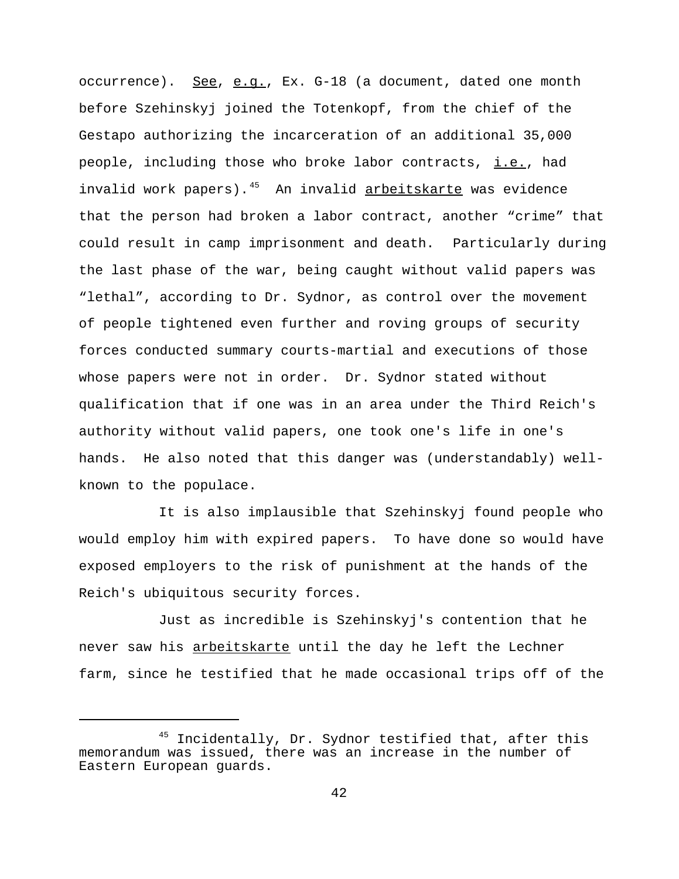occurrence). See, e.g., Ex. G-18 (a document, dated one month before Szehinskyj joined the Totenkopf, from the chief of the Gestapo authorizing the incarceration of an additional 35,000 people, including those who broke labor contracts, i.e., had invalid work papers). $45$  An invalid arbeitskarte was evidence that the person had broken a labor contract, another "crime" that could result in camp imprisonment and death. Particularly during the last phase of the war, being caught without valid papers was "lethal", according to Dr. Sydnor, as control over the movement of people tightened even further and roving groups of security forces conducted summary courts-martial and executions of those whose papers were not in order. Dr. Sydnor stated without qualification that if one was in an area under the Third Reich's authority without valid papers, one took one's life in one's hands. He also noted that this danger was (understandably) wellknown to the populace.

It is also implausible that Szehinskyj found people who would employ him with expired papers. To have done so would have exposed employers to the risk of punishment at the hands of the Reich's ubiquitous security forces.

Just as incredible is Szehinskyj's contention that he never saw his arbeitskarte until the day he left the Lechner farm, since he testified that he made occasional trips off of the

<sup>&</sup>lt;sup>45</sup> Incidentally, Dr. Sydnor testified that, after this memorandum was issued, there was an increase in the number of Eastern European guards.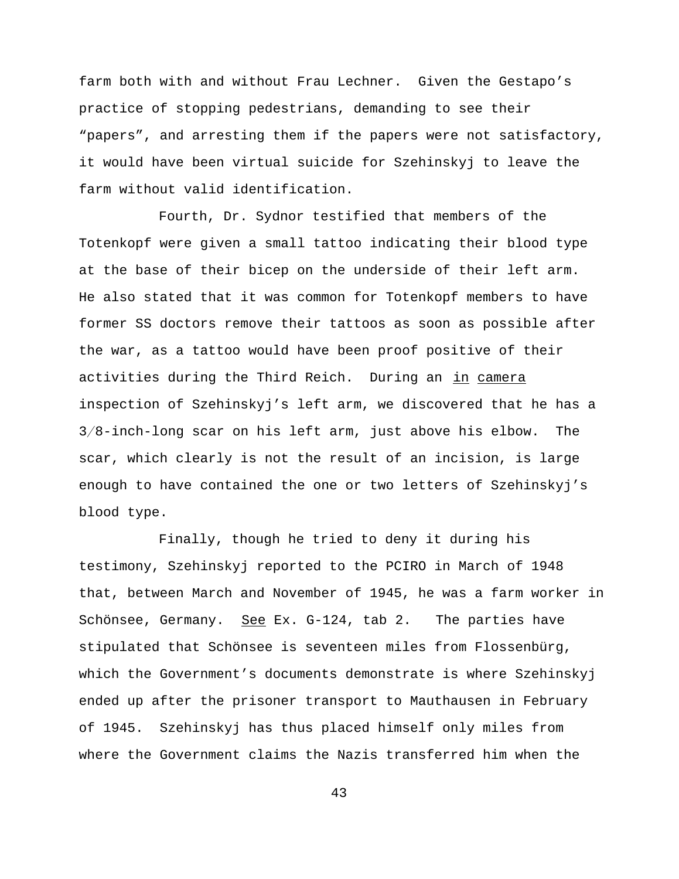farm both with and without Frau Lechner. Given the Gestapo's practice of stopping pedestrians, demanding to see their "papers", and arresting them if the papers were not satisfactory, it would have been virtual suicide for Szehinskyj to leave the farm without valid identification.

Fourth, Dr. Sydnor testified that members of the Totenkopf were given a small tattoo indicating their blood type at the base of their bicep on the underside of their left arm. He also stated that it was common for Totenkopf members to have former SS doctors remove their tattoos as soon as possible after the war, as a tattoo would have been proof positive of their activities during the Third Reich. During an in camera inspection of Szehinskyj's left arm, we discovered that he has a  $3/8$ -inch-long scar on his left arm, just above his elbow. The scar, which clearly is not the result of an incision, is large enough to have contained the one or two letters of Szehinskyj's blood type.

Finally, though he tried to deny it during his testimony, Szehinskyj reported to the PCIRO in March of 1948 that, between March and November of 1945, he was a farm worker in Schönsee, Germany. See Ex. G-124, tab 2. The parties have stipulated that Schönsee is seventeen miles from Flossenbürg, which the Government's documents demonstrate is where Szehinskyj ended up after the prisoner transport to Mauthausen in February of 1945. Szehinskyj has thus placed himself only miles from where the Government claims the Nazis transferred him when the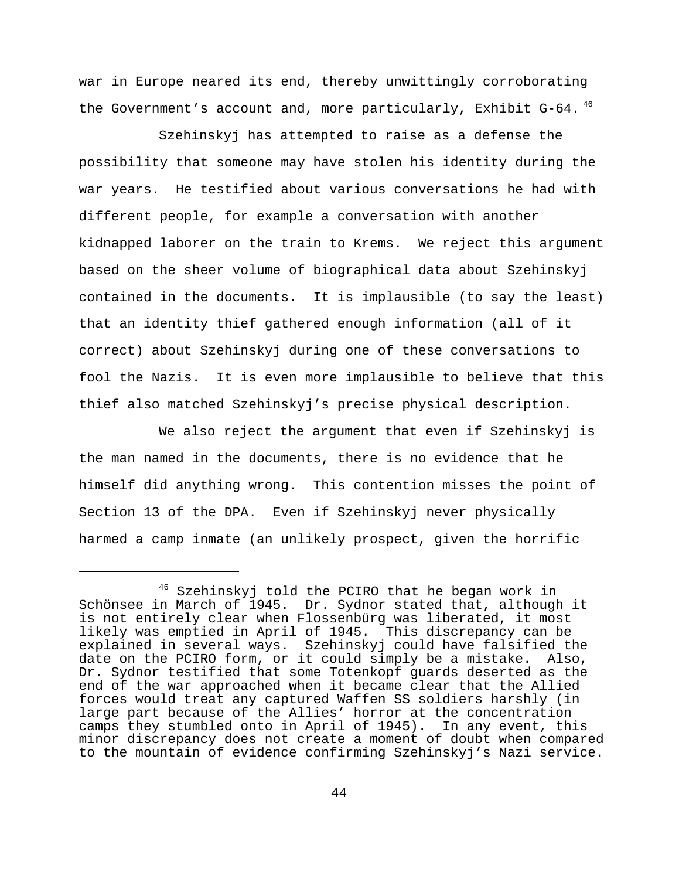war in Europe neared its end, thereby unwittingly corroborating the Government's account and, more particularly, Exhibit G-64.<sup>46</sup>

Szehinskyj has attempted to raise as a defense the possibility that someone may have stolen his identity during the war years. He testified about various conversations he had with different people, for example a conversation with another kidnapped laborer on the train to Krems. We reject this argument based on the sheer volume of biographical data about Szehinskyj contained in the documents. It is implausible (to say the least) that an identity thief gathered enough information (all of it correct) about Szehinskyj during one of these conversations to fool the Nazis. It is even more implausible to believe that this thief also matched Szehinskyj's precise physical description.

We also reject the argument that even if Szehinskyj is the man named in the documents, there is no evidence that he himself did anything wrong. This contention misses the point of Section 13 of the DPA. Even if Szehinskyj never physically harmed a camp inmate (an unlikely prospect, given the horrific

Szehinskyj told the PCIRO that he began work in Schönsee in March of 1945. Dr. Sydnor stated that, although it is not entirely clear when Flossenbürg was liberated, it most likely was emptied in April of 1945. This discrepancy can be explained in several ways. Szehinskyj could have falsified the date on the PCIRO form, or it could simply be a mistake. Also, Dr. Sydnor testified that some Totenkopf guards deserted as the end of the war approached when it became clear that the Allied forces would treat any captured Waffen SS soldiers harshly (in large part because of the Allies' horror at the concentration camps they stumbled onto in April of 1945). In any event, this minor discrepancy does not create a moment of doubt when compared to the mountain of evidence confirming Szehinskyj's Nazi service.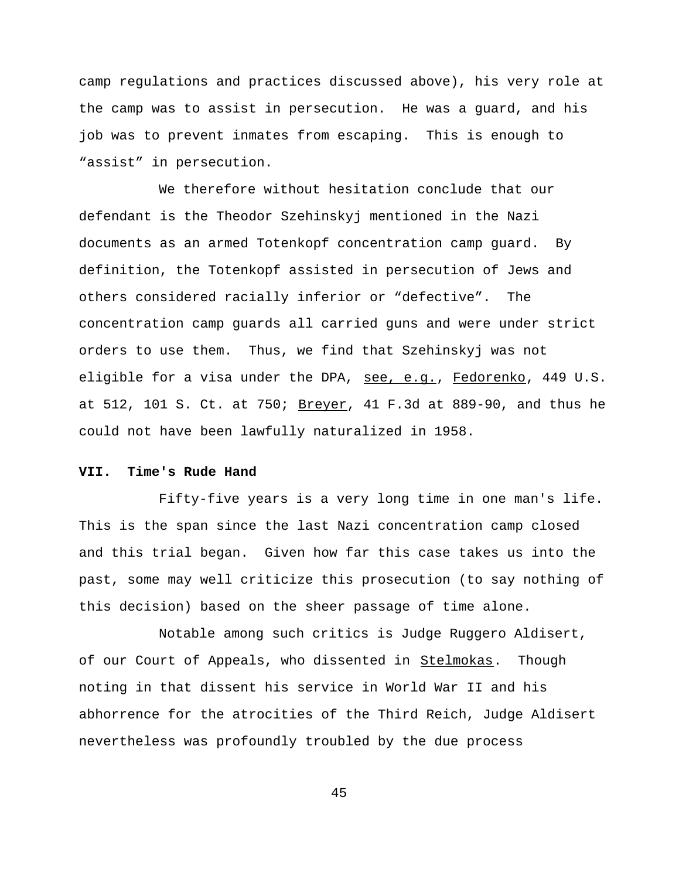camp regulations and practices discussed above), his very role at the camp was to assist in persecution. He was a guard, and his job was to prevent inmates from escaping. This is enough to "assist" in persecution.

We therefore without hesitation conclude that our defendant is the Theodor Szehinskyj mentioned in the Nazi documents as an armed Totenkopf concentration camp guard. By definition, the Totenkopf assisted in persecution of Jews and others considered racially inferior or "defective". The concentration camp guards all carried guns and were under strict orders to use them. Thus, we find that Szehinskyj was not eligible for a visa under the DPA, see, e.g., Fedorenko, 449 U.S. at 512, 101 S. Ct. at 750; **Breyer**, 41 F.3d at 889-90, and thus he could not have been lawfully naturalized in 1958.

## **VII. Time's Rude Hand**

Fifty-five years is a very long time in one man's life. This is the span since the last Nazi concentration camp closed and this trial began. Given how far this case takes us into the past, some may well criticize this prosecution (to say nothing of this decision) based on the sheer passage of time alone.

Notable among such critics is Judge Ruggero Aldisert, of our Court of Appeals, who dissented in Stelmokas. Though noting in that dissent his service in World War II and his abhorrence for the atrocities of the Third Reich, Judge Aldisert nevertheless was profoundly troubled by the due process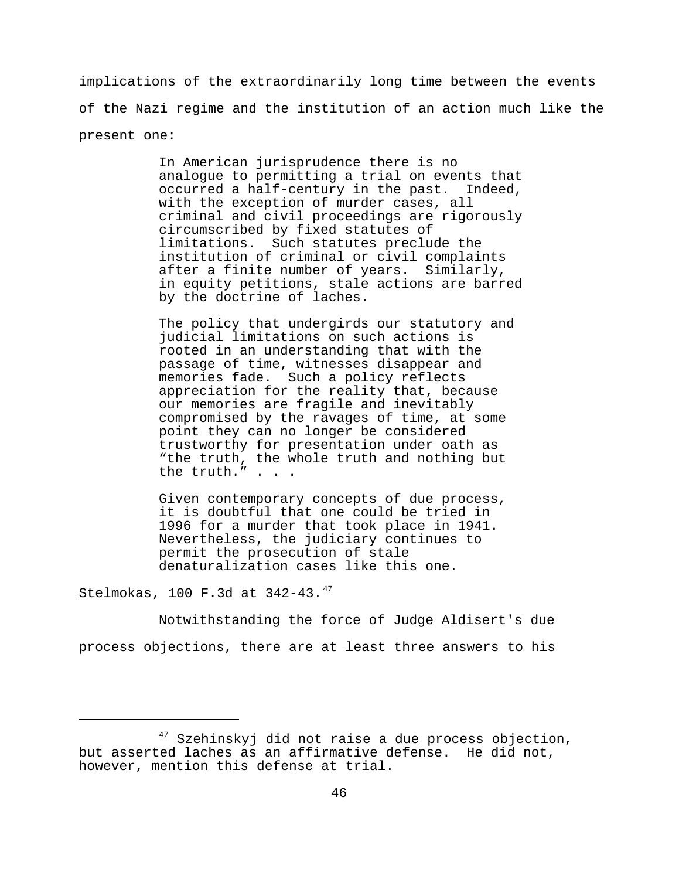implications of the extraordinarily long time between the events of the Nazi regime and the institution of an action much like the present one:

> In American jurisprudence there is no analogue to permitting a trial on events that occurred a half-century in the past. Indeed, with the exception of murder cases, all criminal and civil proceedings are rigorously circumscribed by fixed statutes of limitations. Such statutes preclude the institution of criminal or civil complaints after a finite number of years. Similarly, in equity petitions, stale actions are barred by the doctrine of laches.

The policy that undergirds our statutory and judicial limitations on such actions is rooted in an understanding that with the passage of time, witnesses disappear and memories fade. Such a policy reflects appreciation for the reality that, because our memories are fragile and inevitably compromised by the ravages of time, at some point they can no longer be considered trustworthy for presentation under oath as "the truth, the whole truth and nothing but the truth." . . .

Given contemporary concepts of due process, it is doubtful that one could be tried in 1996 for a murder that took place in 1941. Nevertheless, the judiciary continues to permit the prosecution of stale denaturalization cases like this one.

Stelmokas, 100 F.3d at 342-43.<sup>47</sup>

Notwithstanding the force of Judge Aldisert's due process objections, there are at least three answers to his

 $47$  Szehinskyj did not raise a due process objection, but asserted laches as an affirmative defense. He did not, however, mention this defense at trial.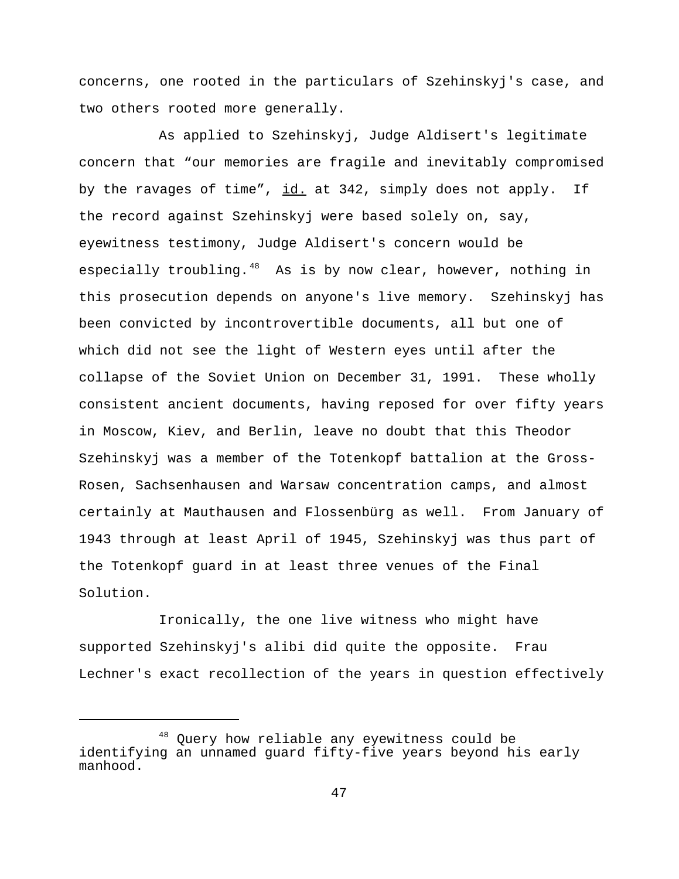concerns, one rooted in the particulars of Szehinskyj's case, and two others rooted more generally.

As applied to Szehinskyj, Judge Aldisert's legitimate concern that "our memories are fragile and inevitably compromised by the ravages of time", id. at 342, simply does not apply. If the record against Szehinskyj were based solely on, say, eyewitness testimony, Judge Aldisert's concern would be especially troubling. $48$  As is by now clear, however, nothing in this prosecution depends on anyone's live memory. Szehinskyj has been convicted by incontrovertible documents, all but one of which did not see the light of Western eyes until after the collapse of the Soviet Union on December 31, 1991. These wholly consistent ancient documents, having reposed for over fifty years in Moscow, Kiev, and Berlin, leave no doubt that this Theodor Szehinskyj was a member of the Totenkopf battalion at the Gross-Rosen, Sachsenhausen and Warsaw concentration camps, and almost certainly at Mauthausen and Flossenbürg as well. From January of 1943 through at least April of 1945, Szehinskyj was thus part of the Totenkopf guard in at least three venues of the Final Solution.

Ironically, the one live witness who might have supported Szehinskyj's alibi did quite the opposite. Frau Lechner's exact recollection of the years in question effectively

<sup>&</sup>lt;sup>48</sup> Query how reliable any eyewitness could be identifying an unnamed guard fifty-five years beyond his early manhood.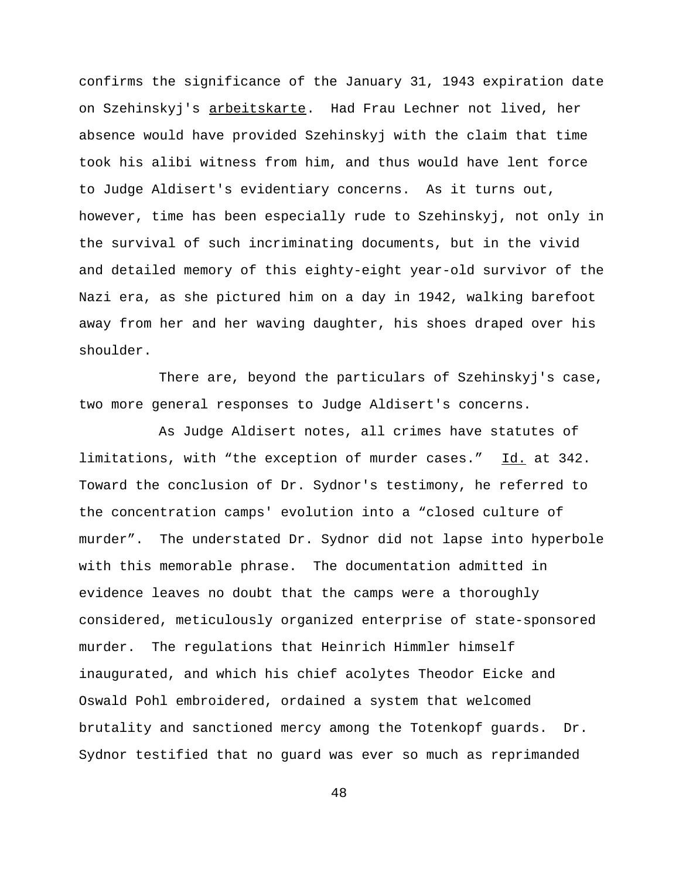confirms the significance of the January 31, 1943 expiration date on Szehinskyj's arbeitskarte. Had Frau Lechner not lived, her absence would have provided Szehinskyj with the claim that time took his alibi witness from him, and thus would have lent force to Judge Aldisert's evidentiary concerns. As it turns out, however, time has been especially rude to Szehinskyj, not only in the survival of such incriminating documents, but in the vivid and detailed memory of this eighty-eight year-old survivor of the Nazi era, as she pictured him on a day in 1942, walking barefoot away from her and her waving daughter, his shoes draped over his shoulder.

There are, beyond the particulars of Szehinskyj's case, two more general responses to Judge Aldisert's concerns.

As Judge Aldisert notes, all crimes have statutes of limitations, with "the exception of murder cases." Id. at 342. Toward the conclusion of Dr. Sydnor's testimony, he referred to the concentration camps' evolution into a "closed culture of murder". The understated Dr. Sydnor did not lapse into hyperbole with this memorable phrase. The documentation admitted in evidence leaves no doubt that the camps were a thoroughly considered, meticulously organized enterprise of state-sponsored murder. The regulations that Heinrich Himmler himself inaugurated, and which his chief acolytes Theodor Eicke and Oswald Pohl embroidered, ordained a system that welcomed brutality and sanctioned mercy among the Totenkopf guards. Dr. Sydnor testified that no guard was ever so much as reprimanded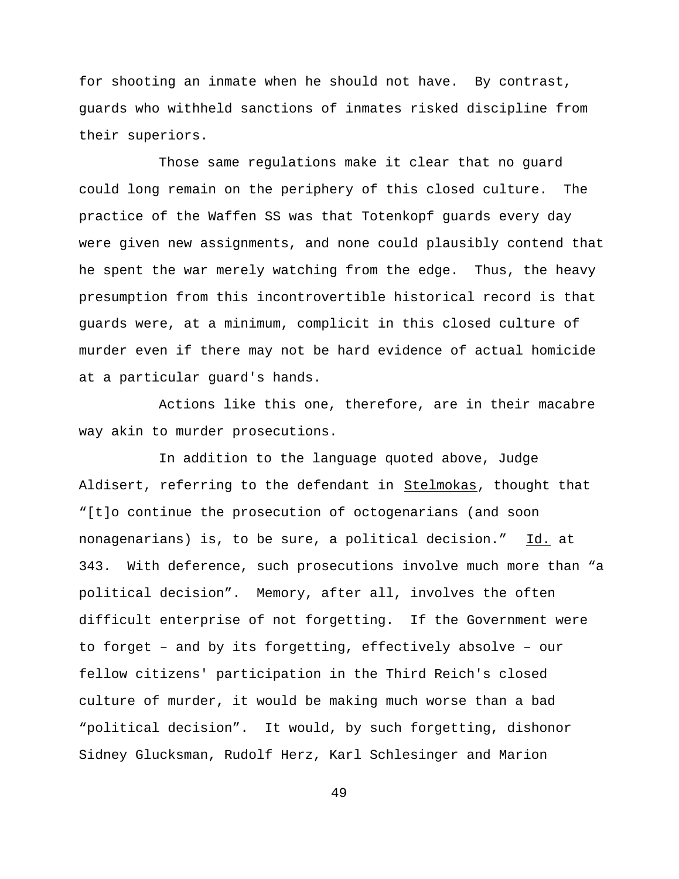for shooting an inmate when he should not have. By contrast, guards who withheld sanctions of inmates risked discipline from their superiors.

Those same regulations make it clear that no guard could long remain on the periphery of this closed culture. The practice of the Waffen SS was that Totenkopf guards every day were given new assignments, and none could plausibly contend that he spent the war merely watching from the edge. Thus, the heavy presumption from this incontrovertible historical record is that guards were, at a minimum, complicit in this closed culture of murder even if there may not be hard evidence of actual homicide at a particular guard's hands.

Actions like this one, therefore, are in their macabre way akin to murder prosecutions.

In addition to the language quoted above, Judge Aldisert, referring to the defendant in Stelmokas, thought that "[t]o continue the prosecution of octogenarians (and soon nonagenarians) is, to be sure, a political decision." Id. at 343. With deference, such prosecutions involve much more than "a political decision". Memory, after all, involves the often difficult enterprise of not forgetting. If the Government were to forget – and by its forgetting, effectively absolve – our fellow citizens' participation in the Third Reich's closed culture of murder, it would be making much worse than a bad "political decision". It would, by such forgetting, dishonor Sidney Glucksman, Rudolf Herz, Karl Schlesinger and Marion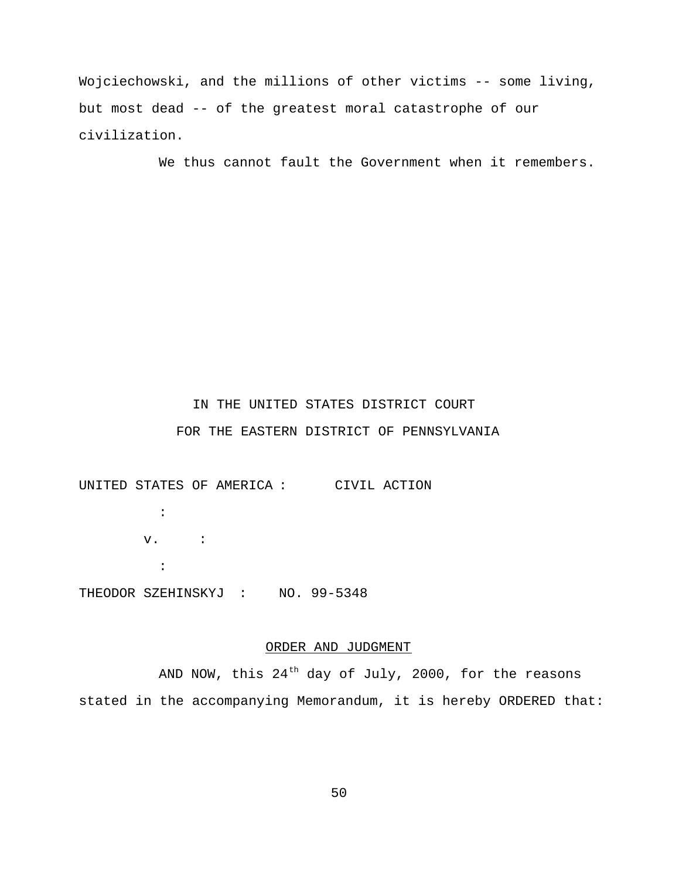Wojciechowski, and the millions of other victims -- some living, but most dead -- of the greatest moral catastrophe of our civilization.

We thus cannot fault the Government when it remembers.

# IN THE UNITED STATES DISTRICT COURT FOR THE EASTERN DISTRICT OF PENNSYLVANIA

UNITED STATES OF AMERICA : CIVIL ACTION  $\cdot$  : v. : : THEODOR SZEHINSKYJ : NO. 99-5348

# ORDER AND JUDGMENT

AND NOW, this  $24<sup>th</sup>$  day of July, 2000, for the reasons stated in the accompanying Memorandum, it is hereby ORDERED that: